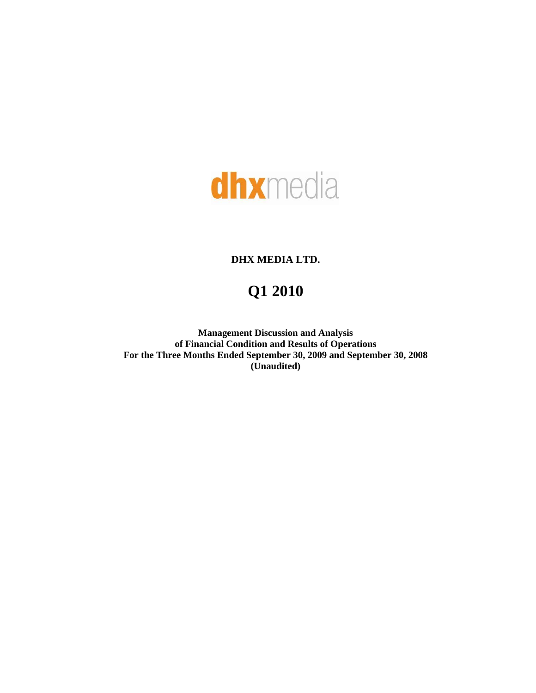

## **DHX MEDIA LTD.**

# **Q1 2010**

**Management Discussion and Analysis of Financial Condition and Results of Operations For the Three Months Ended September 30, 2009 and September 30, 2008 (Unaudited)**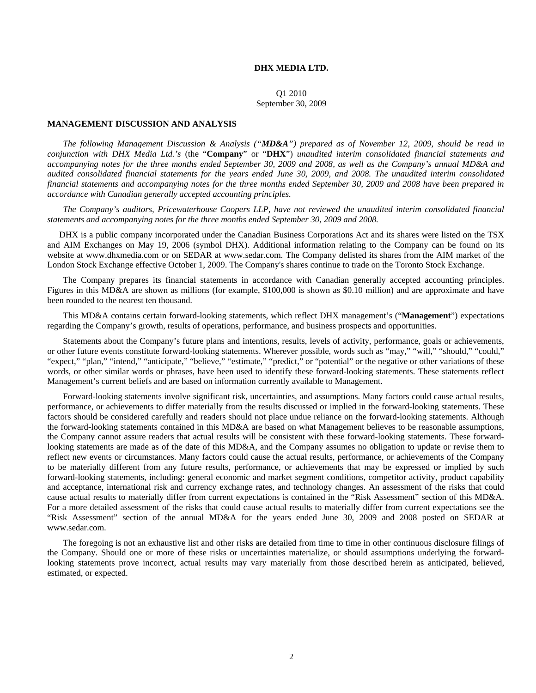## **DHX MEDIA LTD.**

Q1 2010 September 30, 2009

## **MANAGEMENT DISCUSSION AND ANALYSIS**

*The following Management Discussion & Analysis ("MD&A") prepared as of November 12, 2009, should be read in conjunction with DHX Media Ltd.'s* (the "**Company**" or "**DHX**") *unaudited interim consolidated financial statements and accompanying notes for the three months ended September 30, 2009 and 2008, as well as the Company's annual MD&A and*  audited consolidated financial statements for the years ended June 30, 2009, and 2008. The unaudited interim consolidated *financial statements and accompanying notes for the three months ended September 30, 2009 and 2008 have been prepared in accordance with Canadian generally accepted accounting principles.* 

*The Company's auditors, Pricewaterhouse Coopers LLP, have not reviewed the unaudited interim consolidated financial statements and accompanying notes for the three months ended September 30, 2009 and 2008.* 

DHX is a public company incorporated under the Canadian Business Corporations Act and its shares were listed on the TSX and AIM Exchanges on May 19, 2006 (symbol DHX). Additional information relating to the Company can be found on its website at [www.dhxmedia.com](http://www.dhxmedia.com/) or on SEDAR at [www.sedar.com.](http://www.sedar.com/) The Company delisted its shares from the AIM market of the London Stock Exchange effective October 1, 2009. The Company's shares continue to trade on the Toronto Stock Exchange.

The Company prepares its financial statements in accordance with Canadian generally accepted accounting principles. Figures in this MD&A are shown as millions (for example, \$100,000 is shown as \$0.10 million) and are approximate and have been rounded to the nearest ten thousand.

This MD&A contains certain forward-looking statements, which reflect DHX management's ("**Management**") expectations regarding the Company's growth, results of operations, performance, and business prospects and opportunities.

Statements about the Company's future plans and intentions, results, levels of activity, performance, goals or achievements, or other future events constitute forward-looking statements. Wherever possible, words such as "may," "will," "should," "could," "expect," "plan," "intend," "anticipate," "believe," "estimate," "predict," or "potential" or the negative or other variations of these words, or other similar words or phrases, have been used to identify these forward-looking statements. These statements reflect Management's current beliefs and are based on information currently available to Management.

Forward-looking statements involve significant risk, uncertainties, and assumptions. Many factors could cause actual results, performance, or achievements to differ materially from the results discussed or implied in the forward-looking statements. These factors should be considered carefully and readers should not place undue reliance on the forward-looking statements. Although the forward-looking statements contained in this MD&A are based on what Management believes to be reasonable assumptions, the Company cannot assure readers that actual results will be consistent with these forward-looking statements. These forwardlooking statements are made as of the date of this MD&A, and the Company assumes no obligation to update or revise them to reflect new events or circumstances. Many factors could cause the actual results, performance, or achievements of the Company to be materially different from any future results, performance, or achievements that may be expressed or implied by such forward-looking statements, including: general economic and market segment conditions, competitor activity, product capability and acceptance, international risk and currency exchange rates, and technology changes. An assessment of the risks that could cause actual results to materially differ from current expectations is contained in the "Risk Assessment" section of this MD&A. For a more detailed assessment of the risks that could cause actual results to materially differ from current expectations see the "Risk Assessment" section of the annual MD&A for the years ended June 30, 2009 and 2008 posted on SEDAR at www.sedar.com.

The foregoing is not an exhaustive list and other risks are detailed from time to time in other continuous disclosure filings of the Company. Should one or more of these risks or uncertainties materialize, or should assumptions underlying the forwardlooking statements prove incorrect, actual results may vary materially from those described herein as anticipated, believed, estimated, or expected.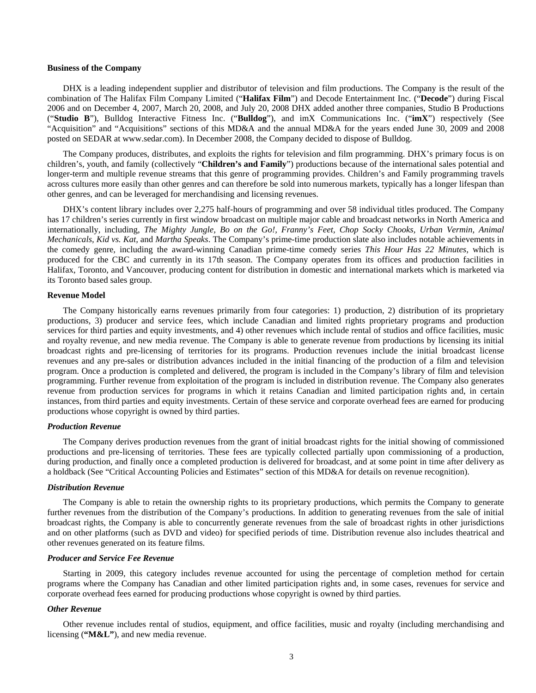### **Business of the Company**

DHX is a leading independent supplier and distributor of television and film productions. The Company is the result of the combination of The Halifax Film Company Limited ("**Halifax Film**") and Decode Entertainment Inc. ("**Decode**") during Fiscal 2006 and on December 4, 2007, March 20, 2008, and July 20, 2008 DHX added another three companies, Studio B Productions ("**Studio B**"), Bulldog Interactive Fitness Inc. ("**Bulldog**"), and imX Communications Inc. ("**imX**") respectively (See "Acquisition" and "Acquisitions" sections of this MD&A and the annual MD&A for the years ended June 30, 2009 and 2008 posted on SEDAR at www.sedar.com). In December 2008, the Company decided to dispose of Bulldog.

The Company produces, distributes, and exploits the rights for television and film programming. DHX's primary focus is on children's, youth, and family (collectively "**Children's and Family**") productions because of the international sales potential and longer-term and multiple revenue streams that this genre of programming provides. Children's and Family programming travels across cultures more easily than other genres and can therefore be sold into numerous markets, typically has a longer lifespan than other genres, and can be leveraged for merchandising and licensing revenues.

DHX's content library includes over 2,275 half-hours of programming and over 58 individual titles produced. The Company has 17 children's series currently in first window broadcast on multiple major cable and broadcast networks in North America and internationally, including, *The Mighty Jungle, Bo on the Go!, Franny's Feet, Chop Socky Chooks, Urban Vermin, Animal Mechanicals, Kid vs. Kat,* and *Martha Speaks*. The Company's prime-time production slate also includes notable achievements in the comedy genre, including the award-winning Canadian prime-time comedy series *This Hour Has 22 Minutes*, which is produced for the CBC and currently in its 17th season. The Company operates from its offices and production facilities in Halifax, Toronto, and Vancouver, producing content for distribution in domestic and international markets which is marketed via its Toronto based sales group.

#### **Revenue Model**

The Company historically earns revenues primarily from four categories: 1) production, 2) distribution of its proprietary productions, 3) producer and service fees, which include Canadian and limited rights proprietary programs and production services for third parties and equity investments, and 4) other revenues which include rental of studios and office facilities, music and royalty revenue, and new media revenue. The Company is able to generate revenue from productions by licensing its initial broadcast rights and pre-licensing of territories for its programs. Production revenues include the initial broadcast license revenues and any pre-sales or distribution advances included in the initial financing of the production of a film and television program. Once a production is completed and delivered, the program is included in the Company's library of film and television programming. Further revenue from exploitation of the program is included in distribution revenue. The Company also generates revenue from production services for programs in which it retains Canadian and limited participation rights and, in certain instances, from third parties and equity investments. Certain of these service and corporate overhead fees are earned for producing productions whose copyright is owned by third parties.

### *Production Revenue*

The Company derives production revenues from the grant of initial broadcast rights for the initial showing of commissioned productions and pre-licensing of territories. These fees are typically collected partially upon commissioning of a production, during production, and finally once a completed production is delivered for broadcast, and at some point in time after delivery as a holdback (See "Critical Accounting Policies and Estimates" section of this MD&A for details on revenue recognition).

#### *Distribution Revenue*

The Company is able to retain the ownership rights to its proprietary productions, which permits the Company to generate further revenues from the distribution of the Company's productions. In addition to generating revenues from the sale of initial broadcast rights, the Company is able to concurrently generate revenues from the sale of broadcast rights in other jurisdictions and on other platforms (such as DVD and video) for specified periods of time. Distribution revenue also includes theatrical and other revenues generated on its feature films.

## *Producer and Service Fee Revenue*

Starting in 2009, this category includes revenue accounted for using the percentage of completion method for certain programs where the Company has Canadian and other limited participation rights and, in some cases, revenues for service and corporate overhead fees earned for producing productions whose copyright is owned by third parties.

## *Other Revenue*

Other revenue includes rental of studios, equipment, and office facilities, music and royalty (including merchandising and licensing (**"M&L"**), and new media revenue.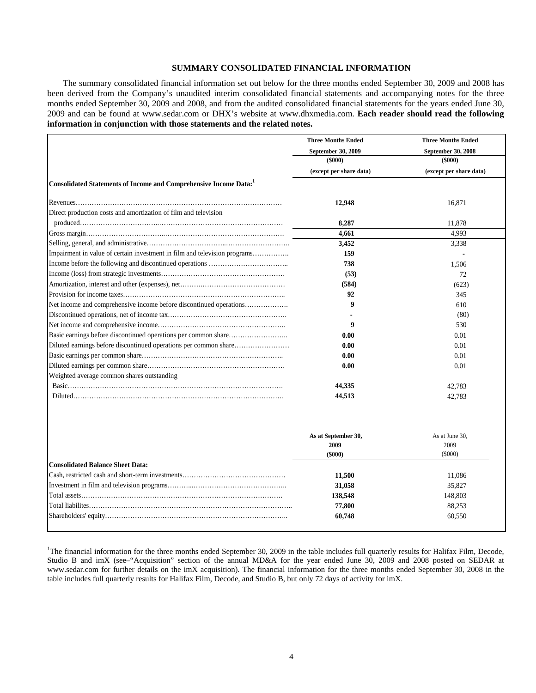## **SUMMARY CONSOLIDATED FINANCIAL INFORMATION**

The summary consolidated financial information set out below for the three months ended September 30, 2009 and 2008 has been derived from the Company's unaudited interim consolidated financial statements and accompanying notes for the three months ended September 30, 2009 and 2008, and from the audited consolidated financial statements for the years ended June 30, 2009 and can be found at www.sedar.com [or DHX's website at www.dhxmedia.com](http://www.dhxmedia.com/). Each reader should read the following **[information in conjunction with those statements and the related notes.](http://www.dhxmedia.com/)** 

|                                                                           | <b>Three Months Ended</b>                    | <b>Three Months Ended</b>        |
|---------------------------------------------------------------------------|----------------------------------------------|----------------------------------|
|                                                                           | September 30, 2009                           | September 30, 2008               |
|                                                                           | $($ \$000 $)$                                | $($ \$000 $)$                    |
|                                                                           | (except per share data)                      | (except per share data)          |
| Consolidated Statements of Income and Comprehensive Income Data:1         |                                              |                                  |
|                                                                           | 12,948                                       | 16,871                           |
| Direct production costs and amortization of film and television           |                                              |                                  |
|                                                                           | 8,287                                        | 11,878                           |
|                                                                           | 4,661                                        | 4,993                            |
|                                                                           | 3,452                                        | 3,338                            |
| Impairment in value of certain investment in film and television programs | 159                                          |                                  |
|                                                                           | 738                                          | 1,506                            |
|                                                                           | (53)                                         | 72                               |
|                                                                           | (584)                                        | (623)                            |
|                                                                           | 92                                           | 345                              |
|                                                                           | 9                                            | 610                              |
|                                                                           |                                              | (80)                             |
|                                                                           | 9                                            | 530                              |
|                                                                           | 0.00                                         | 0.01                             |
| Diluted earnings before discontinued operations per common share          | 0.00                                         | 0.01                             |
|                                                                           | 0.00                                         | 0.01                             |
|                                                                           | 0.00                                         | 0.01                             |
| Weighted average common shares outstanding                                |                                              |                                  |
|                                                                           | 44,335                                       | 42,783                           |
|                                                                           | 44,513                                       | 42,783                           |
|                                                                           | As at September 30,<br>2009<br>$($ \$000 $)$ | As at June 30,<br>2009<br>(5000) |
| <b>Consolidated Balance Sheet Data:</b>                                   |                                              |                                  |
|                                                                           | 11,500                                       | 11,086                           |
|                                                                           | 31,058                                       | 35,827                           |
|                                                                           | 138,548                                      | 148,803                          |
|                                                                           | 77,800                                       | 88,253                           |
|                                                                           | 60,748                                       | 60,550                           |
|                                                                           |                                              |                                  |

<sup>1</sup>The financial information for the three months ended September 30, 2009 in the table includes full quarterly results for Halifax Film, Decode, Studio B and imX (see–"Acquisition" section of the annual MD&A for the year ended June 30, 2009 and 2008 posted on SEDAR at [www.sedar.com](http://www.sedar.com/) for further details on the imX acquisition). The financial information for the three months ended September 30, 2008 in the table includes full quarterly results for Halifax Film, Decode, and Studio B, but only 72 days of activity for imX.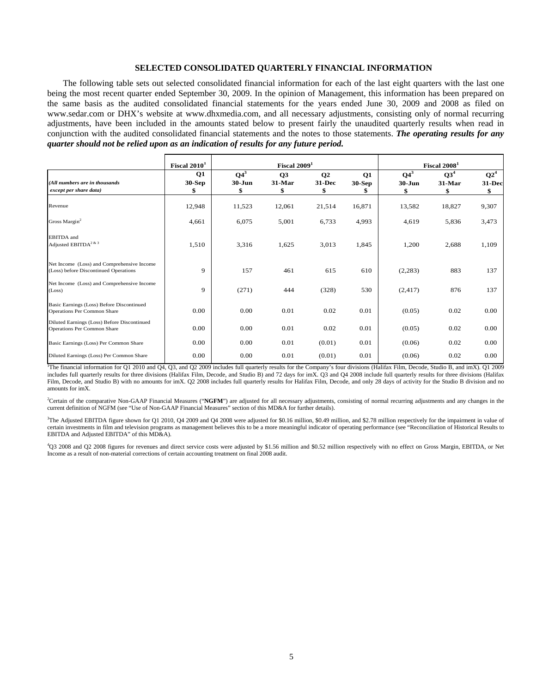## **SELECTED CONSOLIDATED QUARTERLY FINANCIAL INFORMATION**

The following table sets out selected consolidated financial information for each of the last eight quarters with the last one being the most recent quarter ended September 30, 2009. In the opinion of Management, this information has been prepared on the same basis as the audited consolidated financial statements for the years ended June 30, 2009 and 2008 as filed on www.sedar.com [or DHX's website at www.dhxmedia.com,](http://www.dhxmedia.com/) and all necessary adjustments, consisting only of normal recurring adjustments, have been included in the amounts stated below to present fairly the unaudited quarterly results when read in conjunction with the audited consolidated financial statements and the notes to those statements. *The operating results for any quarter should not be relied upon as an indication of results for any future period.* 

|                                                                                     | Fiscal $20101$            |                           | Fiscal $20091$     |                          |                      |                      | Fiscal $20081$                  |                        |
|-------------------------------------------------------------------------------------|---------------------------|---------------------------|--------------------|--------------------------|----------------------|----------------------|---------------------------------|------------------------|
| (All numbers are in thousands<br>except per share data)                             | Q1<br><b>30-Sep</b><br>\$ | $Q4^3$<br>$30 - Jun$<br>S | Q3<br>31-Mar<br>\$ | $\bf Q2$<br>31-Dec<br>\$ | Q1<br>$30-Sep$<br>\$ | $Q4^3$<br>$30 - Jun$ | Q3 <sup>4</sup><br>31-Mar<br>\$ | $Q2^4$<br>31-Dec<br>\$ |
| Revenue                                                                             | 12,948                    | 11,523                    | 12,061             | 21,514                   | 16,871               | 13,582               | 18,827                          | 9,307                  |
| Gross Margin <sup>2</sup>                                                           | 4,661                     | 6,075                     | 5,001              | 6,733                    | 4,993                | 4,619                | 5,836                           | 3,473                  |
| <b>EBITDA</b> and<br>Adjusted $\text{EBITDA}^{2 \text{ \& } 3}$                     | 1,510                     | 3,316                     | 1,625              | 3,013                    | 1,845                | 1,200                | 2,688                           | 1,109                  |
| Net Income (Loss) and Comprehensive Income<br>(Loss) before Discontinued Operations | 9                         | 157                       | 461                | 615                      | 610                  | (2,283)              | 883                             | 137                    |
| Net Income (Loss) and Comprehensive Income<br>(Loss)                                | 9                         | (271)                     | 444                | (328)                    | 530                  | (2, 417)             | 876                             | 137                    |
| Basic Earnings (Loss) Before Discontinued<br>Operations Per Common Share            | 0.00                      | 0.00                      | 0.01               | 0.02                     | 0.01                 | (0.05)               | 0.02                            | 0.00                   |
| Diluted Earnings (Loss) Before Discontinued<br>Operations Per Common Share          | 0.00                      | 0.00                      | 0.01               | 0.02                     | 0.01                 | (0.05)               | 0.02                            | 0.00                   |
| Basic Earnings (Loss) Per Common Share                                              | 0.00                      | 0.00                      | 0.01               | (0.01)                   | 0.01                 | (0.06)               | 0.02                            | 0.00                   |
| Diluted Earnings (Loss) Per Common Share                                            | 0.00                      | 0.00                      | 0.01               | (0.01)                   | 0.01                 | (0.06)               | 0.02                            | 0.00                   |

<sup>1</sup>The financial information for Q1 2010 and Q4, Q3, and Q2 2009 includes full quarterly results for the Company's four divisions (Halifax Film, Decode, Studio B, and imX). Q1 2009 includes full quarterly results for three divisions (Halifax Film, Decode, and Studio B) and 72 days for imX. Q3 and Q4 2008 include full quarterly results for three divisions (Halifax Film, Decode, and Studio B) with no amounts for imX. Q2 2008 includes full quarterly results for Halifax Film, Decode, and only 28 days of activity for the Studio B division and no amounts for imX.

<sup>2</sup>Certain of the comparative Non-GAAP Financial Measures ("NGFM") are adjusted for all necessary adjustments, consisting of normal recurring adjustments and any changes in the current definition of NGFM (see "Use of Non-GAAP Financial Measures" section of this MD&A for further details).

<sup>3</sup>The Adjusted EBITDA figure shown for Q1 2010, Q4 2009 and Q4 2008 were adjusted for \$0.16 million, \$0.49 million, and \$2.78 million respectively for the impairment in value of certain investments in film and television programs as management believes this to be a more meaningful indicator of operating performance (see "Reconciliation of Historical Results to EBITDA and Adjusted EBITDA" of this MD&A).

4 Q3 2008 and Q2 2008 figures for revenues and direct service costs were adjusted by \$1.56 million and \$0.52 million respectively with no effect on Gross Margin, EBITDA, or Net Income as a result of non-material corrections of certain accounting treatment on final 2008 audit.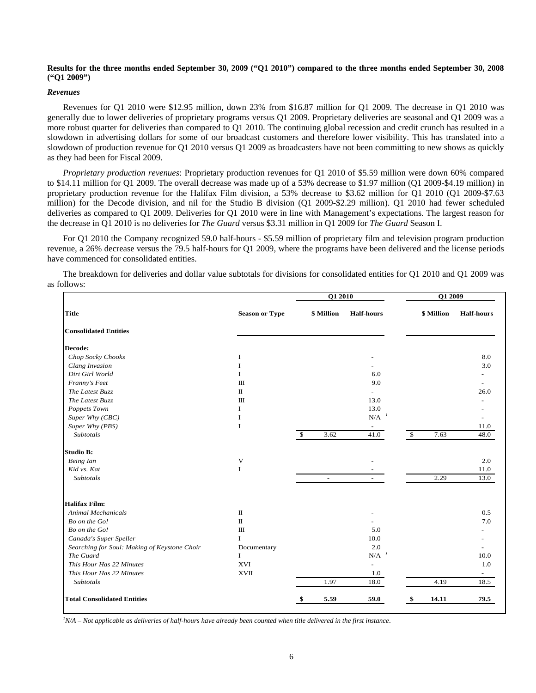## **Results for the three months ended September 30, 2009 ("Q1 2010") compared to the three months ended September 30, 2008 ("Q1 2009")**

## *Revenues*

Revenues for Q1 2010 were \$12.95 million, down 23% from \$16.87 million for Q1 2009. The decrease in Q1 2010 was generally due to lower deliveries of proprietary programs versus Q1 2009. Proprietary deliveries are seasonal and Q1 2009 was a more robust quarter for deliveries than compared to Q1 2010. The continuing global recession and credit crunch has resulted in a slowdown in advertising dollars for some of our broadcast customers and therefore lower visibility. This has translated into a slowdown of production revenue for Q1 2010 versus Q1 2009 as broadcasters have not been committing to new shows as quickly as they had been for Fiscal 2009.

*Proprietary production revenues*: Proprietary production revenues for Q1 2010 of \$5.59 million were down 60% compared to \$14.11 million for Q1 2009. The overall decrease was made up of a 53% decrease to \$1.97 million (Q1 2009-\$4.19 million) in proprietary production revenue for the Halifax Film division, a 53% decrease to \$3.62 million for Q1 2010 (Q1 2009-\$7.63 million) for the Decode division, and nil for the Studio B division (Q1 2009-\$2.29 million). Q1 2010 had fewer scheduled deliveries as compared to Q1 2009. Deliveries for Q1 2010 were in line with Management's expectations. The largest reason for the decrease in Q1 2010 is no deliveries for *The Guard* versus \$3.31 million in Q1 2009 for *The Guard* Season I.

For Q1 2010 the Company recognized 59.0 half-hours - \$5.59 million of proprietary film and television program production revenue, a 26% decrease versus the 79.5 half-hours for Q1 2009, where the programs have been delivered and the license periods have commenced for consolidated entities.

The breakdown for deliveries and dollar value subtotals for divisions for consolidated entities for Q1 2010 and Q1 2009 was as follows:

|                                              |                           |                       | Q1 2010                      |               |            | Q1 2009                  |  |  |
|----------------------------------------------|---------------------------|-----------------------|------------------------------|---------------|------------|--------------------------|--|--|
| <b>Title</b>                                 | <b>Season or Type</b>     | \$ Million            | <b>Half-hours</b>            |               | \$ Million | <b>Half-hours</b>        |  |  |
| <b>Consolidated Entities</b>                 |                           |                       |                              |               |            |                          |  |  |
| Decode:                                      |                           |                       |                              |               |            |                          |  |  |
| Chop Socky Chooks                            | I                         |                       |                              |               |            | 8.0                      |  |  |
| Clang Invasion                               | $\mathbf I$               |                       |                              |               |            | 3.0                      |  |  |
| Dirt Girl World                              | $\mathbf{I}$              |                       | 6.0                          |               |            |                          |  |  |
| Franny's Feet                                | $\mathbf{III}$            |                       | 9.0                          |               |            |                          |  |  |
| The Latest Buzz                              | $\scriptstyle\rm II$      |                       |                              |               |            | 26.0                     |  |  |
| The Latest Buzz                              | $\mathbf{I}$              |                       | 13.0                         |               |            |                          |  |  |
| Poppets Town                                 | 1                         |                       | 13.0                         |               |            |                          |  |  |
| Super Why (CBC)                              | I                         |                       | $\mathbf{N}/\mathbf{A}^{-1}$ |               |            |                          |  |  |
| Super Why (PBS)                              | $\bf{I}$                  |                       | $\overline{\phantom{a}}$     |               |            | 11.0                     |  |  |
| <b>Subtotals</b>                             |                           | 3.62<br>$\mathcal{S}$ | 41.0                         | $\mathcal{S}$ | 7.63       | 48.0                     |  |  |
| <b>Studio B:</b>                             |                           |                       |                              |               |            |                          |  |  |
| Being Ian                                    | $\ensuremath{\mathsf{V}}$ |                       |                              |               |            | 2.0                      |  |  |
| Kid vs. Kat                                  | $\mathbf I$               |                       |                              |               |            | 11.0                     |  |  |
| <b>Subtotals</b>                             |                           | $\sim$                | $\overline{\phantom{a}}$     |               | 2.29       | 13.0                     |  |  |
| <b>Halifax Film:</b>                         |                           |                       |                              |               |            |                          |  |  |
| <b>Animal Mechanicals</b>                    | $\mathbf{I}$              |                       |                              |               |            | 0.5                      |  |  |
| Bo on the Go!                                | $\scriptstyle\rm II$      |                       |                              |               |            | 7.0                      |  |  |
| Bo on the Go!                                | $\rm III$                 |                       | 5.0                          |               |            |                          |  |  |
| Canada's Super Speller                       | $\mathbf I$               |                       | 10.0                         |               |            |                          |  |  |
| Searching for Soul: Making of Keystone Choir | Documentary               |                       | 2.0                          |               |            |                          |  |  |
| The Guard                                    | $\mathbf I$               |                       | $\textbf{N}/\textbf{A}^{-1}$ |               |            | 10.0                     |  |  |
| This Hour Has 22 Minutes                     | XVI                       |                       | $\sim$                       |               |            | 1.0                      |  |  |
| This Hour Has 22 Minutes                     | <b>XVII</b>               |                       | 1.0                          |               |            | $\overline{\phantom{a}}$ |  |  |
| <b>Subtotals</b>                             |                           | 1.97                  | 18.0                         |               | 4.19       | 18.5                     |  |  |
| <b>Total Consolidated Entities</b>           |                           | 5.59                  | 59.0                         |               | 14.11      | 79.5                     |  |  |

*1 N/A – Not applicable as deliveries of half-hours have already been counted when title delivered in the first instance*.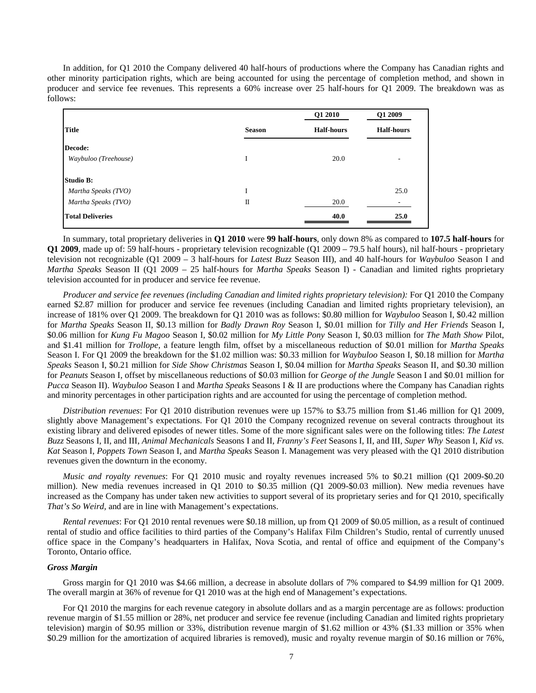In addition, for Q1 2010 the Company delivered 40 half-hours of productions where the Company has Canadian rights and other minority participation rights, which are being accounted for using the percentage of completion method, and shown in producer and service fee revenues. This represents a 60% increase over 25 half-hours for Q1 2009. The breakdown was as follows:

|               | Q1 2010           | Q1 2009           |
|---------------|-------------------|-------------------|
| <b>Season</b> | <b>Half-hours</b> | <b>Half-hours</b> |
|               |                   |                   |
| I             | 20.0              | ۰                 |
|               |                   |                   |
| I             |                   | 25.0              |
| П             | 20.0              |                   |
|               | 40.0              | 25.0              |
|               |                   |                   |

In summary, total proprietary deliveries in **Q1 2010** were **99 half-hours**, only down 8% as compared to **107.5 half-hours** for **Q1 2009**, made up of: 59 half-hours - proprietary television recognizable (Q1 2009 – 79.5 half hours), nil half-hours - proprietary television not recognizable (Q1 2009 – 3 half-hours for *Latest Buzz* Season III), and 40 half-hours for *Waybuloo* Season I and *Martha Speaks* Season II (Q1 2009 – 25 half-hours for *Martha Speaks* Season I) - Canadian and limited rights proprietary television accounted for in producer and service fee revenue.

*Producer and service fee revenues (including Canadian and limited rights proprietary television):* For Q1 2010 the Company earned \$2.87 million for producer and service fee revenues (including Canadian and limited rights proprietary television), an increase of 181% over Q1 2009. The breakdown for Q1 2010 was as follows: \$0.80 million for *Waybuloo* Season I, \$0.42 million for *Martha Speaks* Season II, \$0.13 million for *Badly Drawn Roy* Season I, \$0.01 million for *Tilly and Her Friends* Season I, \$0.06 million for *Kung Fu Magoo* Season I, \$0.02 million for *My Little Pony* Season I, \$0.03 million for *The Math Show* Pilot, and \$1.41 million for *Trollope,* a feature length film, offset by a miscellaneous reduction of \$0.01 million for *Martha Speaks* Season I. For Q1 2009 the breakdown for the \$1.02 million was: \$0.33 million for *Waybuloo* Season I, \$0.18 million for *Martha Speaks* Season I, \$0.21 million for *Side Show Christmas* Season I, \$0.04 million for *Martha Speaks* Season II, and \$0.30 million for *Peanuts* Season I, offset by miscellaneous reductions of \$0.03 million for *George of the Jungle* Season I and \$0.01 million for *Pucca* Season II). *Waybuloo* Season I and *Martha Speaks* Seasons I & II are productions where the Company has Canadian rights and minority percentages in other participation rights and are accounted for using the percentage of completion method.

*Distribution revenues*: For Q1 2010 distribution revenues were up 157% to \$3.75 million from \$1.46 million for Q1 2009, slightly above Management's expectations. For Q1 2010 the Company recognized revenue on several contracts throughout its existing library and delivered episodes of newer titles. Some of the more significant sales were on the following titles: *The Latest Buzz* Seasons I, II, and III, *Animal Mechanicals* Seasons I and II, *Franny's Feet* Seasons I, II, and III, *Super Why* Season I, *Kid vs. Kat* Season I, *Poppets Town* Season I, and *Martha Speaks* Season I. Management was very pleased with the Q1 2010 distribution revenues given the downturn in the economy.

*Music and royalty revenues*: For Q1 2010 music and royalty revenues increased 5% to \$0.21 million (Q1 2009-\$0.20 million). New media revenues increased in Q1 2010 to \$0.35 million (Q1 2009-\$0.03 million). New media revenues have increased as the Company has under taken new activities to support several of its proprietary series and for Q1 2010, specifically *That's So Weird,* and are in line with Management's expectations.

*Rental revenues*: For Q1 2010 rental revenues were \$0.18 million, up from Q1 2009 of \$0.05 million, as a result of continued rental of studio and office facilities to third parties of the Company's Halifax Film Children's Studio, rental of currently unused office space in the Company's headquarters in Halifax, Nova Scotia, and rental of office and equipment of the Company's Toronto, Ontario office.

## *Gross Margin*

Gross margin for Q1 2010 was \$4.66 million, a decrease in absolute dollars of 7% compared to \$4.99 million for Q1 2009. The overall margin at 36% of revenue for Q1 2010 was at the high end of Management's expectations.

For Q1 2010 the margins for each revenue category in absolute dollars and as a margin percentage are as follows: production revenue margin of \$1.55 million or 28%, net producer and service fee revenue (including Canadian and limited rights proprietary television) margin of \$0.95 million or 33%, distribution revenue margin of \$1.62 million or 43% (\$1.33 million or 35% when \$0.29 million for the amortization of acquired libraries is removed), music and royalty revenue margin of \$0.16 million or 76%,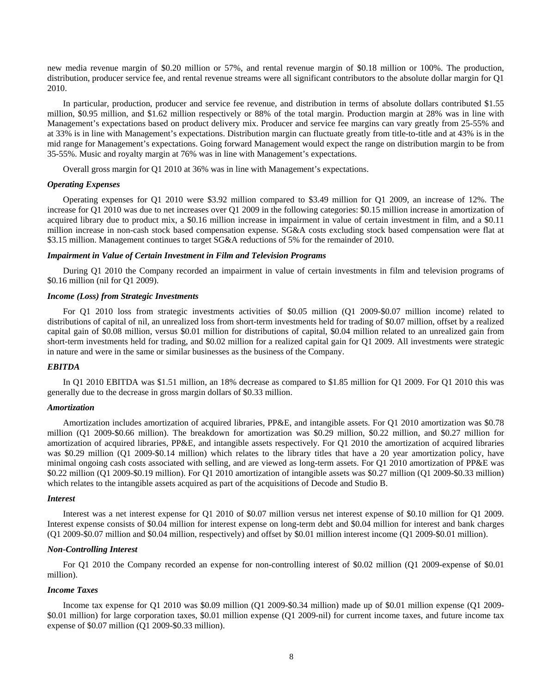new media revenue margin of \$0.20 million or 57%, and rental revenue margin of \$0.18 million or 100%. The production, distribution, producer service fee, and rental revenue streams were all significant contributors to the absolute dollar margin for Q1 2010.

In particular, production, producer and service fee revenue, and distribution in terms of absolute dollars contributed \$1.55 million, \$0.95 million, and \$1.62 million respectively or 88% of the total margin. Production margin at 28% was in line with Management's expectations based on product delivery mix. Producer and service fee margins can vary greatly from 25-55% and at 33% is in line with Management's expectations. Distribution margin can fluctuate greatly from title-to-title and at 43% is in the mid range for Management's expectations. Going forward Management would expect the range on distribution margin to be from 35-55%. Music and royalty margin at 76% was in line with Management's expectations.

Overall gross margin for Q1 2010 at 36% was in line with Management's expectations.

## *Operating Expenses*

Operating expenses for Q1 2010 were \$3.92 million compared to \$3.49 million for Q1 2009, an increase of 12%. The increase for Q1 2010 was due to net increases over Q1 2009 in the following categories: \$0.15 million increase in amortization of acquired library due to product mix, a \$0.16 million increase in impairment in value of certain investment in film, and a \$0.11 million increase in non-cash stock based compensation expense. SG&A costs excluding stock based compensation were flat at \$3.15 million. Management continues to target SG&A reductions of 5% for the remainder of 2010.

## *Impairment in Value of Certain Investment in Film and Television Programs*

During Q1 2010 the Company recorded an impairment in value of certain investments in film and television programs of \$0.16 million (nil for Q1 2009).

## *Income (Loss) from Strategic Investments*

For Q1 2010 loss from strategic investments activities of \$0.05 million (Q1 2009-\$0.07 million income) related to distributions of capital of nil, an unrealized loss from short-term investments held for trading of \$0.07 million, offset by a realized capital gain of \$0.08 million, versus \$0.01 million for distributions of capital, \$0.04 million related to an unrealized gain from short-term investments held for trading, and \$0.02 million for a realized capital gain for Q1 2009. All investments were strategic in nature and were in the same or similar businesses as the business of the Company.

## *EBITDA*

In Q1 2010 EBITDA was \$1.51 million, an 18% decrease as compared to \$1.85 million for Q1 2009. For Q1 2010 this was generally due to the decrease in gross margin dollars of \$0.33 million.

## *Amortization*

Amortization includes amortization of acquired libraries, PP&E, and intangible assets. For Q1 2010 amortization was \$0.78 million (Q1 2009-\$0.66 million). The breakdown for amortization was \$0.29 million, \$0.22 million, and \$0.27 million for amortization of acquired libraries, PP&E, and intangible assets respectively. For Q1 2010 the amortization of acquired libraries was \$0.29 million (Q1 2009-\$0.14 million) which relates to the library titles that have a 20 year amortization policy, have minimal ongoing cash costs associated with selling, and are viewed as long-term assets. For Q1 2010 amortization of PP&E was \$0.22 million (Q1 2009-\$0.19 million). For Q1 2010 amortization of intangible assets was \$0.27 million (Q1 2009-\$0.33 million) which relates to the intangible assets acquired as part of the acquisitions of Decode and Studio B.

#### *Interest*

Interest was a net interest expense for Q1 2010 of \$0.07 million versus net interest expense of \$0.10 million for Q1 2009. Interest expense consists of \$0.04 million for interest expense on long-term debt and \$0.04 million for interest and bank charges (Q1 2009-\$0.07 million and \$0.04 million, respectively) and offset by \$0.01 million interest income (Q1 2009-\$0.01 million).

## *Non-Controlling Interest*

For Q1 2010 the Company recorded an expense for non-controlling interest of \$0.02 million (Q1 2009-expense of \$0.01 million).

## *Income Taxes*

Income tax expense for Q1 2010 was \$0.09 million (Q1 2009-\$0.34 million) made up of \$0.01 million expense (Q1 2009- \$0.01 million) for large corporation taxes, \$0.01 million expense (Q1 2009-nil) for current income taxes, and future income tax expense of \$0.07 million (Q1 2009-\$0.33 million).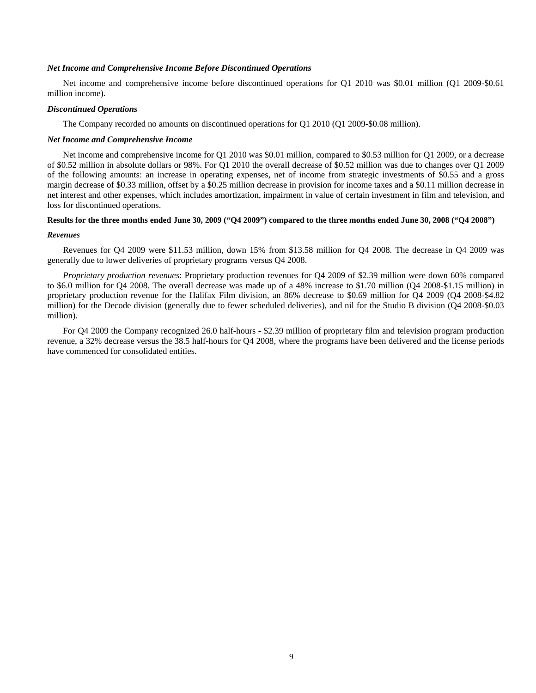## *Net Income and Comprehensive Income Before Discontinued Operations*

Net income and comprehensive income before discontinued operations for Q1 2010 was \$0.01 million (Q1 2009-\$0.61 million income).

## *Discontinued Operations*

The Company recorded no amounts on discontinued operations for Q1 2010 (Q1 2009-\$0.08 million).

#### *Net Income and Comprehensive Income*

Net income and comprehensive income for Q1 2010 was \$0.01 million, compared to \$0.53 million for Q1 2009, or a decrease of \$0.52 million in absolute dollars or 98%. For Q1 2010 the overall decrease of \$0.52 million was due to changes over Q1 2009 of the following amounts: an increase in operating expenses, net of income from strategic investments of \$0.55 and a gross margin decrease of \$0.33 million, offset by a \$0.25 million decrease in provision for income taxes and a \$0.11 million decrease in net interest and other expenses, which includes amortization, impairment in value of certain investment in film and television, and loss for discontinued operations.

## **Results for the three months ended June 30, 2009 ("Q4 2009") compared to the three months ended June 30, 2008 ("Q4 2008")**

#### *Revenues*

Revenues for Q4 2009 were \$11.53 million, down 15% from \$13.58 million for Q4 2008. The decrease in Q4 2009 was generally due to lower deliveries of proprietary programs versus Q4 2008.

*Proprietary production revenues*: Proprietary production revenues for Q4 2009 of \$2.39 million were down 60% compared to \$6.0 million for Q4 2008. The overall decrease was made up of a 48% increase to \$1.70 million (Q4 2008-\$1.15 million) in proprietary production revenue for the Halifax Film division, an 86% decrease to \$0.69 million for Q4 2009 (Q4 2008-\$4.82 million) for the Decode division (generally due to fewer scheduled deliveries), and nil for the Studio B division (Q4 2008-\$0.03 million).

For Q4 2009 the Company recognized 26.0 half-hours - \$2.39 million of proprietary film and television program production revenue, a 32% decrease versus the 38.5 half-hours for Q4 2008, where the programs have been delivered and the license periods have commenced for consolidated entities.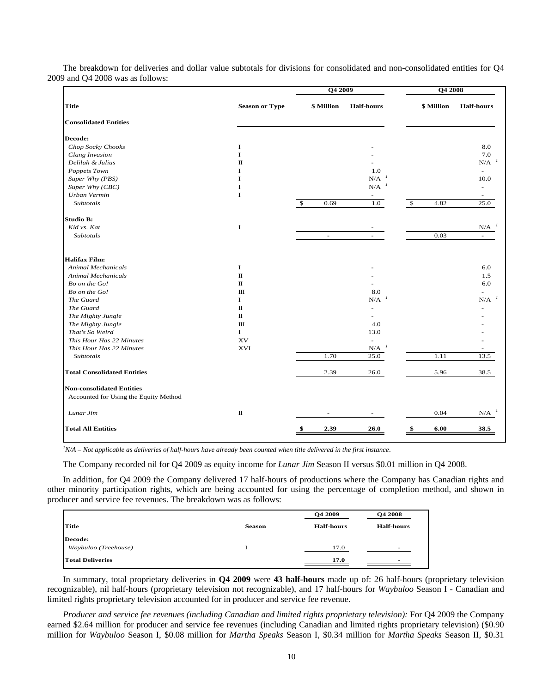|                                       |                       | Q4 2009             |                                 | Q4 2008            |            |                                 |
|---------------------------------------|-----------------------|---------------------|---------------------------------|--------------------|------------|---------------------------------|
| <b>Title</b>                          | <b>Season or Type</b> | \$ Million          | <b>Half-hours</b>               |                    | \$ Million | <b>Half-hours</b>               |
| <b>Consolidated Entities</b>          |                       |                     |                                 |                    |            |                                 |
| Decode:                               |                       |                     |                                 |                    |            |                                 |
| Chop Socky Chooks                     | $\bf{I}$              |                     |                                 |                    |            | 8.0                             |
| Clang Invasion                        | $\mathbf I$           |                     |                                 |                    |            | 7.0                             |
| Delilah & Julius                      | $\mathbf{I}$          |                     |                                 |                    |            | $N/A$ <sup><math>1</math></sup> |
| Poppets Town                          | $\bf{I}$              |                     | 1.0                             |                    |            |                                 |
| Super Why (PBS)                       | 1                     |                     | N/A                             |                    |            | 10.0                            |
| Super Why (CBC)                       | $\bf I$               |                     | N/A                             |                    |            |                                 |
| Urban Vermin                          | $\bf I$               |                     | $\sim$                          |                    |            |                                 |
| <b>Subtotals</b>                      |                       | $\mathbf S$<br>0.69 | 1.0                             | $\mathbf{\hat{S}}$ | 4.82       | 25.0                            |
| <b>Studio B:</b>                      |                       |                     |                                 |                    |            |                                 |
| Kid vs. Kat                           | $\bf I$               |                     |                                 |                    |            | $N/A$ <sup><math>1</math></sup> |
| Subtotals                             |                       | $\sim$              | $\sim$                          |                    | 0.03       |                                 |
| <b>Halifax Film:</b>                  |                       |                     |                                 |                    |            |                                 |
| <b>Animal Mechanicals</b>             | $\bf I$               |                     |                                 |                    |            | 6.0                             |
| <b>Animal Mechanicals</b>             | $\rm II$              |                     |                                 |                    |            | 1.5                             |
| Bo on the Go!                         | $\rm II$              |                     |                                 |                    |            | 6.0                             |
| Bo on the Go!                         | Ш                     |                     | 8.0                             |                    |            |                                 |
| The Guard                             | I                     |                     | $N/A$ <sup><math>I</math></sup> |                    |            | $\mathbf{N}/\mathbf{A}^{-1}$    |
| The Guard                             | $\rm II$              |                     | ÷                               |                    |            |                                 |
| The Mighty Jungle                     | $\mathbf{I}$          |                     |                                 |                    |            |                                 |
| The Mighty Jungle                     | Ш                     |                     | 4.0                             |                    |            |                                 |
| That's So Weird                       | $\bf{I}$              |                     | 13.0                            |                    |            |                                 |
| This Hour Has 22 Minutes              | XV                    |                     |                                 |                    |            |                                 |
| This Hour Has 22 Minutes              | XVI                   |                     | $\boldsymbol{l}$<br>N/A         |                    |            |                                 |
| Subtotals                             |                       | 1.70                | 25.0                            |                    | 1.11       | 13.5                            |
| <b>Total Consolidated Entities</b>    |                       | 2.39                | 26.0                            |                    | 5.96       | 38.5                            |
| <b>Non-consolidated Entities</b>      |                       |                     |                                 |                    |            |                                 |
| Accounted for Using the Equity Method |                       |                     |                                 |                    |            |                                 |
| Lunar Jim                             | $\rm II$              |                     |                                 |                    | 0.04       | $N/A$ <sup><math>1</math></sup> |
| <b>Total All Entities</b>             |                       | 2.39<br>\$          | 26.0                            | \$                 | 6.00       | 38.5                            |

The breakdown for deliveries and dollar value subtotals for divisions for consolidated and non-consolidated entities for Q4 2009 and Q4 2008 was as follows:

*1 N/A – Not applicable as deliveries of half-hours have already been counted when title delivered in the first instance*.

The Company recorded nil for Q4 2009 as equity income for *Lunar Jim* Season II versus \$0.01 million in Q4 2008.

In addition, for Q4 2009 the Company delivered 17 half-hours of productions where the Company has Canadian rights and other minority participation rights, which are being accounted for using the percentage of completion method, and shown in producer and service fee revenues. The breakdown was as follows:

|                         |               | <b>O4 2009</b>    | Q4 2008                  |
|-------------------------|---------------|-------------------|--------------------------|
| <b>Title</b>            | <b>Season</b> | <b>Half-hours</b> | <b>Half-hours</b>        |
| Decode:                 |               |                   |                          |
| Waybuloo (Treehouse)    |               | 17.0              | $\overline{\phantom{0}}$ |
| <b>Total Deliveries</b> |               | 17.0              | -                        |

In summary, total proprietary deliveries in **Q4 2009** were **43 half-hours** made up of: 26 half-hours (proprietary television recognizable), nil half-hours (proprietary television not recognizable), and 17 half-hours for *Waybuloo* Season I - Canadian and limited rights proprietary television accounted for in producer and service fee revenue.

*Producer and service fee revenues (including Canadian and limited rights proprietary television):* For Q4 2009 the Company earned \$2.64 million for producer and service fee revenues (including Canadian and limited rights proprietary television) (\$0.90 million for *Waybuloo* Season I, \$0.08 million for *Martha Speaks* Season I, \$0.34 million for *Martha Speaks* Season II, \$0.31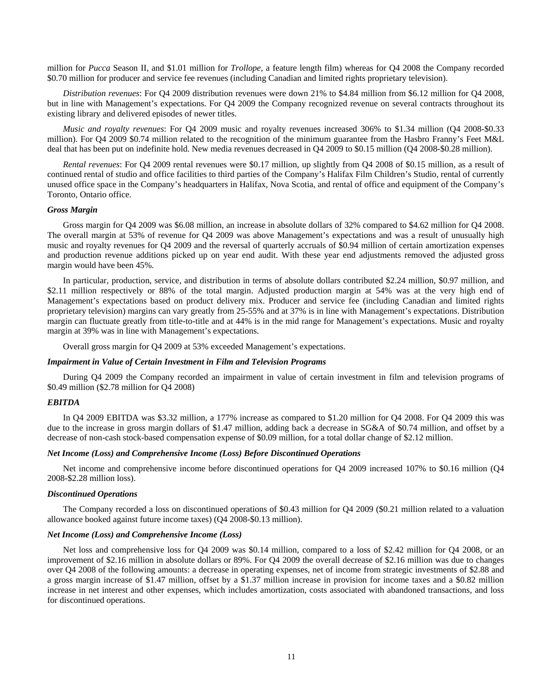million for *Pucca* Season II, and \$1.01 million for *Trollope,* a feature length film) whereas for Q4 2008 the Company recorded \$0.70 million for producer and service fee revenues (including Canadian and limited rights proprietary television).

*Distribution revenues*: For Q4 2009 distribution revenues were down 21% to \$4.84 million from \$6.12 million for Q4 2008, but in line with Management's expectations. For Q4 2009 the Company recognized revenue on several contracts throughout its existing library and delivered episodes of newer titles.

*Music and royalty revenues*: For Q4 2009 music and royalty revenues increased 306% to \$1.34 million (Q4 2008-\$0.33 million). For Q4 2009 \$0.74 million related to the recognition of the minimum guarantee from the Hasbro Franny's Feet M&L deal that has been put on indefinite hold. New media revenues decreased in Q4 2009 to \$0.15 million (Q4 2008-\$0.28 million).

*Rental revenues*: For Q4 2009 rental revenues were \$0.17 million, up slightly from Q4 2008 of \$0.15 million, as a result of continued rental of studio and office facilities to third parties of the Company's Halifax Film Children's Studio, rental of currently unused office space in the Company's headquarters in Halifax, Nova Scotia, and rental of office and equipment of the Company's Toronto, Ontario office.

#### *Gross Margin*

Gross margin for Q4 2009 was \$6.08 million, an increase in absolute dollars of 32% compared to \$4.62 million for Q4 2008. The overall margin at 53% of revenue for Q4 2009 was above Management's expectations and was a result of unusually high music and royalty revenues for Q4 2009 and the reversal of quarterly accruals of \$0.94 million of certain amortization expenses and production revenue additions picked up on year end audit. With these year end adjustments removed the adjusted gross margin would have been 45%.

In particular, production, service, and distribution in terms of absolute dollars contributed \$2.24 million, \$0.97 million, and \$2.11 million respectively or 88% of the total margin. Adjusted production margin at 54% was at the very high end of Management's expectations based on product delivery mix. Producer and service fee (including Canadian and limited rights proprietary television) margins can vary greatly from 25-55% and at 37% is in line with Management's expectations. Distribution margin can fluctuate greatly from title-to-title and at 44% is in the mid range for Management's expectations. Music and royalty margin at 39% was in line with Management's expectations.

Overall gross margin for Q4 2009 at 53% exceeded Management's expectations.

#### *Impairment in Value of Certain Investment in Film and Television Programs*

During Q4 2009 the Company recorded an impairment in value of certain investment in film and television programs of \$0.49 million (\$2.78 million for Q4 2008)

#### *EBITDA*

In Q4 2009 EBITDA was \$3.32 million, a 177% increase as compared to \$1.20 million for Q4 2008. For Q4 2009 this was due to the increase in gross margin dollars of \$1.47 million, adding back a decrease in SG&A of \$0.74 million, and offset by a decrease of non-cash stock-based compensation expense of \$0.09 million, for a total dollar change of \$2.12 million.

## *Net Income (Loss) and Comprehensive Income (Loss) Before Discontinued Operations*

Net income and comprehensive income before discontinued operations for Q4 2009 increased 107% to \$0.16 million (Q4 2008-\$2.28 million loss).

#### *Discontinued Operations*

The Company recorded a loss on discontinued operations of \$0.43 million for Q4 2009 (\$0.21 million related to a valuation allowance booked against future income taxes) (Q4 2008-\$0.13 million).

## *Net Income (Loss) and Comprehensive Income (Loss)*

Net loss and comprehensive loss for Q4 2009 was \$0.14 million, compared to a loss of \$2.42 million for Q4 2008, or an improvement of \$2.16 million in absolute dollars or 89%. For Q4 2009 the overall decrease of \$2.16 million was due to changes over Q4 2008 of the following amounts: a decrease in operating expenses, net of income from strategic investments of \$2.88 and a gross margin increase of \$1.47 million, offset by a \$1.37 million increase in provision for income taxes and a \$0.82 million increase in net interest and other expenses, which includes amortization, costs associated with abandoned transactions, and loss for discontinued operations.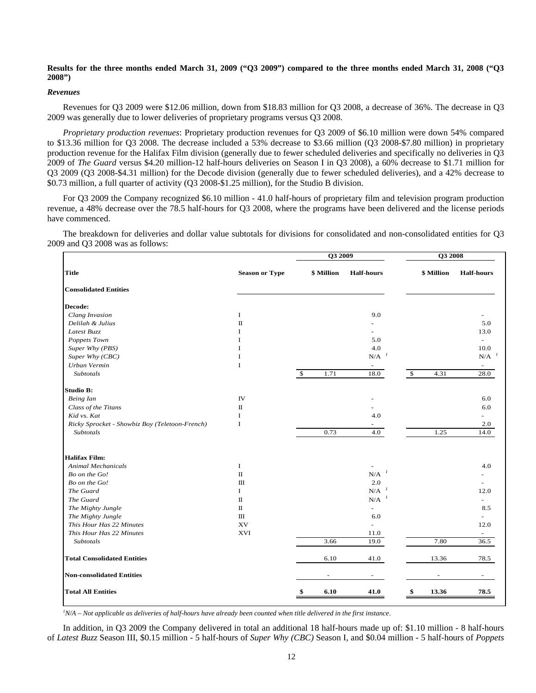## **Results for the three months ended March 31, 2009 ("Q3 2009") compared to the three months ended March 31, 2008 ("Q3 2008")**

## *Revenues*

Revenues for Q3 2009 were \$12.06 million, down from \$18.83 million for Q3 2008, a decrease of 36%. The decrease in Q3 2009 was generally due to lower deliveries of proprietary programs versus Q3 2008.

*Proprietary production revenues*: Proprietary production revenues for Q3 2009 of \$6.10 million were down 54% compared to \$13.36 million for Q3 2008. The decrease included a 53% decrease to \$3.66 million (Q3 2008-\$7.80 million) in proprietary production revenue for the Halifax Film division (generally due to fewer scheduled deliveries and specifically no deliveries in Q3 2009 of *The Guard* versus \$4.20 million-12 half-hours deliveries on Season I in Q3 2008), a 60% decrease to \$1.71 million for Q3 2009 (Q3 2008-\$4.31 million) for the Decode division (generally due to fewer scheduled deliveries), and a 42% decrease to \$0.73 million, a full quarter of activity (Q3 2008-\$1.25 million), for the Studio B division.

For Q3 2009 the Company recognized \$6.10 million - 41.0 half-hours of proprietary film and television program production revenue, a 48% decrease over the 78.5 half-hours for Q3 2008, where the programs have been delivered and the license periods have commenced.

The breakdown for deliveries and dollar value subtotals for divisions for consolidated and non-consolidated entities for Q3 2009 and Q3 2008 was as follows:

|                                                |                       | Q3 2009            |                                 |            | Q3 2008    |                                 |
|------------------------------------------------|-----------------------|--------------------|---------------------------------|------------|------------|---------------------------------|
| <b>Title</b>                                   | <b>Season or Type</b> | \$ Million         | <b>Half-hours</b>               |            | \$ Million | <b>Half-hours</b>               |
| <b>Consolidated Entities</b>                   |                       |                    |                                 |            |            |                                 |
| Decode:                                        |                       |                    |                                 |            |            |                                 |
| Clang Invasion                                 | I                     |                    | 9.0                             |            |            |                                 |
| Delilah & Julius                               | $\rm II$              |                    |                                 |            |            | 5.0                             |
| Latest Buzz                                    | I                     |                    |                                 |            |            | 13.0                            |
| Poppets Town                                   | T                     |                    | 5.0                             |            |            | $\equiv$                        |
| Super Why (PBS)                                | T                     |                    | 4.0                             |            |            | 10.0                            |
| Super Why (CBC)                                | I                     |                    | $N/A$ <sup><math>1</math></sup> |            |            | $N/A$ <sup><math>I</math></sup> |
| Urban Vermin                                   | I                     |                    | $\overline{\phantom{a}}$        |            |            | $\overline{\phantom{a}}$        |
| Subtotals                                      |                       | $\sqrt{3}$<br>1.71 | 18.0                            | $\sqrt{3}$ | 4.31       | 28.0                            |
| <b>Studio B:</b>                               |                       |                    |                                 |            |            |                                 |
| Being Ian                                      | $\Gamma\!V$           |                    |                                 |            |            | 6.0                             |
| Class of the Titans                            | П                     |                    |                                 |            |            | 6.0                             |
| Kid vs. Kat                                    | I                     |                    | 4.0                             |            |            |                                 |
| Ricky Sprocket - Showbiz Boy (Teletoon-French) | I                     |                    |                                 |            |            | 2.0                             |
| Subtotals                                      |                       | 0.73               | 4.0                             |            | 1.25       | 14.0                            |
| <b>Halifax Film:</b>                           |                       |                    |                                 |            |            |                                 |
| <b>Animal Mechanicals</b>                      | I                     |                    |                                 |            |            | 4.0                             |
| Bo on the Go!                                  | $\rm II$              |                    | $N/A$ <sup><math>1</math></sup> |            |            |                                 |
| Bo on the Go!                                  | $\rm III$             |                    | 2.0                             |            |            |                                 |
| The Guard                                      | 1                     |                    | N/A                             |            |            | 12.0                            |
| The Guard                                      | $\mathbf I$           |                    | $N/A$ <sup><math>1</math></sup> |            |            |                                 |
| The Mighty Jungle                              | $\mathbf I$           |                    | $\overline{a}$                  |            |            | 8.5                             |
| The Mighty Jungle                              | $\rm III$             |                    | 6.0                             |            |            | $\overline{\phantom{a}}$        |
| This Hour Has 22 Minutes                       | XV                    |                    | L.                              |            |            | 12.0                            |
| This Hour Has 22 Minutes                       | <b>XVI</b>            |                    | 11.0                            |            |            |                                 |
| Subtotals                                      |                       | 3.66               | 19.0                            |            | 7.80       | 36.5                            |
| <b>Total Consolidated Entities</b>             |                       | 6.10               | 41.0                            |            | 13.36      | 78.5                            |
| <b>Non-consolidated Entities</b>               |                       |                    |                                 |            |            |                                 |
| <b>Total All Entities</b>                      |                       | 6.10               | 41.0                            | \$         | 13.36      | 78.5                            |

*1 N/A – Not applicable as deliveries of half-hours have already been counted when title delivered in the first instance*.

In addition, in Q3 2009 the Company delivered in total an additional 18 half-hours made up of: \$1.10 million - 8 half-hours of *Latest Buzz* Season III, \$0.15 million - 5 half-hours of *Super Why (CBC)* Season I, and \$0.04 million - 5 half-hours of *Poppets*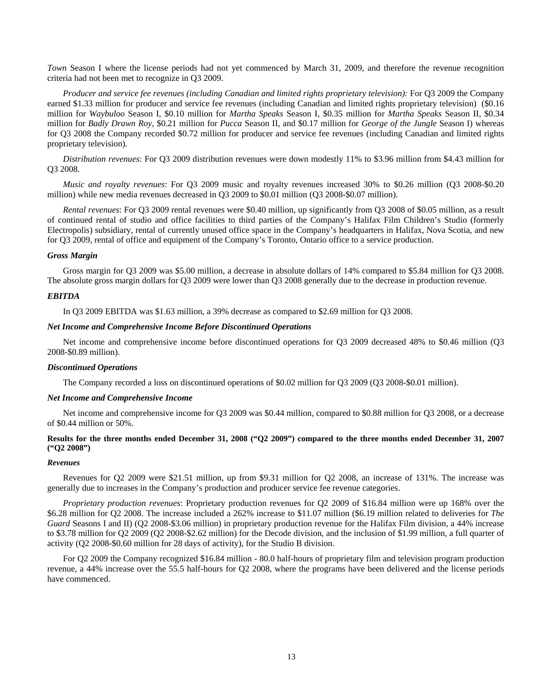*Town* Season I where the license periods had not yet commenced by March 31, 2009, and therefore the revenue recognition criteria had not been met to recognize in Q3 2009.

*Producer and service fee revenues (including Canadian and limited rights proprietary television):* For Q3 2009 the Company earned \$1.33 million for producer and service fee revenues (including Canadian and limited rights proprietary television) (\$0.16 million for *Waybuloo* Season I, \$0.10 million for *Martha Speaks* Season I, \$0.35 million for *Martha Speaks* Season II, \$0.34 million for *Badly Drawn Roy*, \$0.21 million for *Pucca* Season II, and \$0.17 million for *George of the Jungle* Season I) whereas for Q3 2008 the Company recorded \$0.72 million for producer and service fee revenues (including Canadian and limited rights proprietary television).

*Distribution revenues*: For Q3 2009 distribution revenues were down modestly 11% to \$3.96 million from \$4.43 million for Q3 2008.

*Music and royalty revenues*: For Q3 2009 music and royalty revenues increased 30% to \$0.26 million (Q3 2008-\$0.20 million) while new media revenues decreased in Q3 2009 to \$0.01 million (Q3 2008-\$0.07 million).

*Rental revenues*: For Q3 2009 rental revenues were \$0.40 million, up significantly from Q3 2008 of \$0.05 million, as a result of continued rental of studio and office facilities to third parties of the Company's Halifax Film Children's Studio (formerly Electropolis) subsidiary, rental of currently unused office space in the Company's headquarters in Halifax, Nova Scotia, and new for Q3 2009, rental of office and equipment of the Company's Toronto, Ontario office to a service production.

## *Gross Margin*

Gross margin for Q3 2009 was \$5.00 million, a decrease in absolute dollars of 14% compared to \$5.84 million for Q3 2008. The absolute gross margin dollars for Q3 2009 were lower than Q3 2008 generally due to the decrease in production revenue.

## *EBITDA*

In Q3 2009 EBITDA was \$1.63 million, a 39% decrease as compared to \$2.69 million for Q3 2008.

## *Net Income and Comprehensive Income Before Discontinued Operations*

Net income and comprehensive income before discontinued operations for Q3 2009 decreased 48% to \$0.46 million (Q3 2008-\$0.89 million).

## *Discontinued Operations*

The Company recorded a loss on discontinued operations of \$0.02 million for Q3 2009 (Q3 2008-\$0.01 million).

## *Net Income and Comprehensive Income*

Net income and comprehensive income for Q3 2009 was \$0.44 million, compared to \$0.88 million for Q3 2008, or a decrease of \$0.44 million or 50%.

## **Results for the three months ended December 31, 2008 ("Q2 2009") compared to the three months ended December 31, 2007 ("Q2 2008")**

#### *Revenues*

Revenues for Q2 2009 were \$21.51 million, up from \$9.31 million for Q2 2008, an increase of 131%. The increase was generally due to increases in the Company's production and producer service fee revenue categories.

*Proprietary production revenues*: Proprietary production revenues for Q2 2009 of \$16.84 million were up 168% over the \$6.28 million for Q2 2008. The increase included a 262% increase to \$11.07 million (\$6.19 million related to deliveries for *The Guard* Seasons I and II) (Q2 2008-\$3.06 million) in proprietary production revenue for the Halifax Film division, a 44% increase to \$3.78 million for Q2 2009 (Q2 2008-\$2.62 million) for the Decode division, and the inclusion of \$1.99 million, a full quarter of activity (Q2 2008-\$0.60 million for 28 days of activity), for the Studio B division.

For Q2 2009 the Company recognized \$16.84 million - 80.0 half-hours of proprietary film and television program production revenue, a 44% increase over the 55.5 half-hours for Q2 2008, where the programs have been delivered and the license periods have commenced.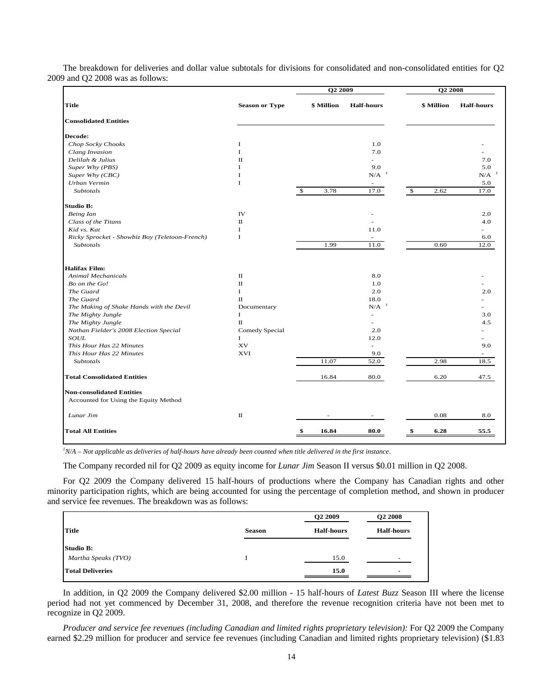|                                                |                       | O <sub>2</sub> 2009 | <b>O2 2008</b>                  |              |            |                                 |
|------------------------------------------------|-----------------------|---------------------|---------------------------------|--------------|------------|---------------------------------|
| <b>Title</b>                                   | <b>Season or Type</b> | \$ Million          | <b>Half-hours</b>               |              | \$ Million | <b>Half-hours</b>               |
| <b>Consolidated Entities</b>                   |                       |                     |                                 |              |            |                                 |
| Decode:                                        |                       |                     |                                 |              |            |                                 |
| Chop Socky Chooks                              | 1                     |                     | 1.0                             |              |            |                                 |
| Clang Invasion                                 | L                     |                     | 7.0                             |              |            |                                 |
| Delilah & Julius                               | П                     |                     | $\overline{\phantom{0}}$        |              |            | 7.0                             |
| Super Why (PBS)                                | T                     |                     | 9.0                             |              |            | 5.0                             |
| Super Why (CBC)                                | I                     |                     | $N/A$ <sup><math>1</math></sup> |              |            | $N/A$ <sup><math>1</math></sup> |
| Urban Vermin                                   | $\mathbf I$           |                     | $\overline{\phantom{a}}$        |              |            | 5.0                             |
| <b>Subtotals</b>                               |                       | -\$<br>3.78         | 17.0                            | $\mathbb{S}$ | 2.62       | 17.0                            |
| Studio B:                                      |                       |                     |                                 |              |            |                                 |
| Being Ian                                      | <b>IV</b>             |                     |                                 |              |            | 2.0                             |
| Class of the Titans                            | $\mathbf{u}$          |                     | $\overline{\phantom{a}}$        |              |            | 4.0                             |
| Kid vs. Kat                                    | 1                     |                     | 11.0                            |              |            |                                 |
| Ricky Sprocket - Showbiz Boy (Teletoon-French) | I                     |                     |                                 |              |            | 6.0                             |
| Subtotals                                      |                       | 1.99                | 11.0                            |              | 0.60       | 12.0                            |
| <b>Halifax Film:</b>                           |                       |                     |                                 |              |            |                                 |
| <b>Animal Mechanicals</b>                      | П                     |                     | 8.0                             |              |            |                                 |
| Bo on the Go!                                  | $\mathbf{I}$          |                     | 1.0                             |              |            |                                 |
| The Guard                                      | $\bf{I}$              |                     | 2.0                             |              |            | 2.0                             |
| The Guard                                      | $\rm II$              |                     | 18.0                            |              |            |                                 |
| The Making of Shake Hands with the Devil       | Documentary           |                     | $N/A$ <sup><math>I</math></sup> |              |            |                                 |
| The Mighty Jungle                              | $\bf{I}$              |                     |                                 |              |            | 3.0                             |
| The Mighty Jungle                              | $\rm{II}$             |                     | ÷                               |              |            | 4.5                             |
| Nathan Fielder's 2008 Election Special         | Comedy Special        |                     | 2.0                             |              |            |                                 |
| SOUL                                           | $\bf{I}$              |                     | 12.0                            |              |            |                                 |
| This Hour Has 22 Minutes                       | XV                    |                     | $\overline{\phantom{a}}$        |              |            | 9.0                             |
| This Hour Has 22 Minutes                       | <b>XVI</b>            |                     | 9.0                             |              |            |                                 |
| Subtotals                                      |                       | 11.07               | 52.0                            |              | 2.98       | 18.5                            |
| <b>Total Consolidated Entities</b>             |                       | 16.84               | 80.0                            |              | 6.20       | 47.5                            |
| <b>Non-consolidated Entities</b>               |                       |                     |                                 |              |            |                                 |
| Accounted for Using the Equity Method          |                       |                     |                                 |              |            |                                 |
| Lunar Jim                                      | $\rm II$              |                     |                                 |              | 0.08       | 8.0                             |
| <b>Total All Entities</b>                      |                       | 16.84<br>\$         | 80.0                            | \$           | 6.28       | 55.5                            |

The breakdown for deliveries and dollar value subtotals for divisions for consolidated and non-consolidated entities for Q2 2009 and Q2 2008 was as follows:

*1 N/A – Not applicable as deliveries of half-hours have already been counted when title delivered in the first instance*.

The Company recorded nil for Q2 2009 as equity income for *Lunar Jim* Season II versus \$0.01 million in Q2 2008.

For Q2 2009 the Company delivered 15 half-hours of productions where the Company has Canadian rights and other minority participation rights, which are being accounted for using the percentage of completion method, and shown in producer and service fee revenues. The breakdown was as follows:

|                         |               | O <sub>2</sub> 2009 | Q2 2008                  |
|-------------------------|---------------|---------------------|--------------------------|
| Title                   | <b>Season</b> | <b>Half-hours</b>   | <b>Half-hours</b>        |
| Studio B:               |               |                     |                          |
| Martha Speaks (TVO)     |               | 15.0                | $\overline{\phantom{0}}$ |
| <b>Total Deliveries</b> |               | 15.0                | ۰                        |

In addition, in Q2 2009 the Company delivered \$2.00 million - 15 half-hours of *Latest Buzz* Season III where the license period had not yet commenced by December 31, 2008, and therefore the revenue recognition criteria have not been met to recognize in Q2 2009.

*Producer and service fee revenues (including Canadian and limited rights proprietary television):* For Q2 2009 the Company earned \$2.29 million for producer and service fee revenues (including Canadian and limited rights proprietary television) (\$1.83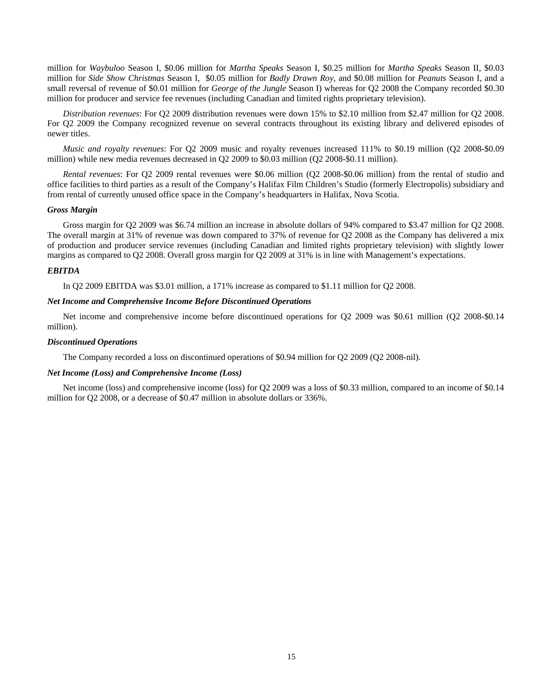million for *Waybuloo* Season I, \$0.06 million for *Martha Speaks* Season I, \$0.25 million for *Martha Speaks* Season II, \$0.03 million for *Side Show Christmas* Season I*,* \$0.05 million for *Badly Drawn Roy*, and \$0.08 million for *Peanuts* Season I, and a small reversal of revenue of \$0.01 million for *George of the Jungle* Season I) whereas for Q2 2008 the Company recorded \$0.30 million for producer and service fee revenues (including Canadian and limited rights proprietary television).

*Distribution revenues*: For Q2 2009 distribution revenues were down 15% to \$2.10 million from \$2.47 million for Q2 2008. For Q2 2009 the Company recognized revenue on several contracts throughout its existing library and delivered episodes of newer titles.

*Music and royalty revenues*: For Q2 2009 music and royalty revenues increased 111% to \$0.19 million (Q2 2008-\$0.09 million) while new media revenues decreased in Q2 2009 to \$0.03 million (Q2 2008-\$0.11 million).

*Rental revenues*: For Q2 2009 rental revenues were \$0.06 million (Q2 2008-\$0.06 million) from the rental of studio and office facilities to third parties as a result of the Company's Halifax Film Children's Studio (formerly Electropolis) subsidiary and from rental of currently unused office space in the Company's headquarters in Halifax, Nova Scotia.

## *Gross Margin*

Gross margin for Q2 2009 was \$6.74 million an increase in absolute dollars of 94% compared to \$3.47 million for Q2 2008. The overall margin at 31% of revenue was down compared to 37% of revenue for Q2 2008 as the Company has delivered a mix of production and producer service revenues (including Canadian and limited rights proprietary television) with slightly lower margins as compared to Q2 2008. Overall gross margin for Q2 2009 at 31% is in line with Management's expectations.

### *EBITDA*

In Q2 2009 EBITDA was \$3.01 million, a 171% increase as compared to \$1.11 million for Q2 2008.

## *Net Income and Comprehensive Income Before Discontinued Operations*

Net income and comprehensive income before discontinued operations for Q2 2009 was \$0.61 million (Q2 2008-\$0.14 million).

## *Discontinued Operations*

The Company recorded a loss on discontinued operations of \$0.94 million for Q2 2009 (Q2 2008-nil).

## *Net Income (Loss) and Comprehensive Income (Loss)*

Net income (loss) and comprehensive income (loss) for Q2 2009 was a loss of \$0.33 million, compared to an income of \$0.14 million for Q2 2008, or a decrease of \$0.47 million in absolute dollars or 336%.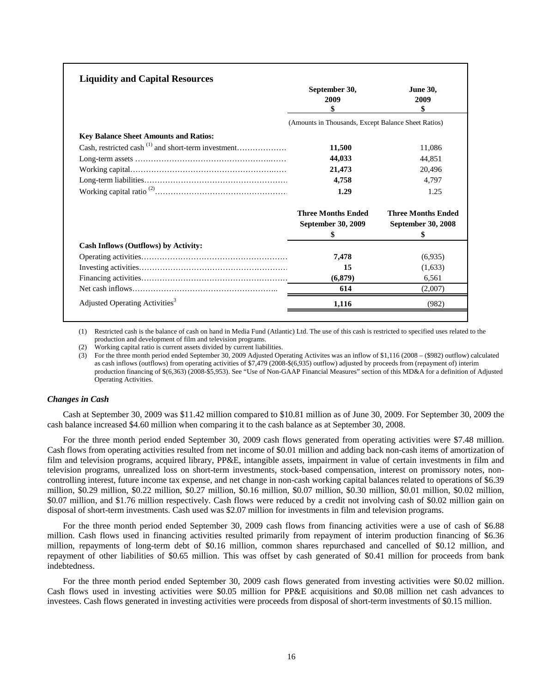| <b>Liquidity and Capital Resources</b>       |                                                     |                               |
|----------------------------------------------|-----------------------------------------------------|-------------------------------|
|                                              | September 30,<br>2009                               | <b>June 30,</b><br>2009<br>\$ |
|                                              | (Amounts in Thousands, Except Balance Sheet Ratios) |                               |
| <b>Key Balance Sheet Amounts and Ratios:</b> |                                                     |                               |
|                                              | 11,500                                              | 11,086                        |
|                                              | 44,033                                              | 44.851                        |
|                                              | 21,473                                              | 20.496                        |
|                                              | 4,758                                               | 4.797                         |
|                                              | 1.29                                                | 1.25                          |
|                                              | <b>Three Months Ended</b>                           | <b>Three Months Ended</b>     |
|                                              | September 30, 2009                                  | September 30, 2008            |
|                                              | \$                                                  | \$                            |
| Cash Inflows (Outflows) by Activity:         |                                                     |                               |
|                                              | 7,478                                               | (6,935)                       |
|                                              | 15                                                  | (1,633)                       |
|                                              | (6, 879)                                            | 6.561                         |
|                                              | 614                                                 | (2.007)                       |
| Adjusted Operating Activities <sup>3</sup>   | 1,116                                               | (982)                         |

(1) Restricted cash is the balance of cash on hand in Media Fund (Atlantic) Ltd. The use of this cash is restricted to specified uses related to the production and development of film and television programs.

(2) Working capital ratio is current assets divided by current liabilities.

(3) For the three month period ended September 30, 2009 Adjusted Operating Activites was an inflow of \$1,116 (2008 – (\$982) outflow) calculated as cash inflows (outflows) from operating activities of \$7,479 (2008-\$(6,935) outflow) adjusted by proceeds from (repayment of) interim production financing of \$(6,363) (2008-\$5,953). See "Use of Non-GAAP Financial Measures" section of this MD&A for a definition of Adjusted Operating Activities.

## *Changes in Cash*

Cash at September 30, 2009 was \$11.42 million compared to \$10.81 million as of June 30, 2009. For September 30, 2009 the cash balance increased \$4.60 million when comparing it to the cash balance as at September 30, 2008.

For the three month period ended September 30, 2009 cash flows generated from operating activities were \$7.48 million. Cash flows from operating activities resulted from net income of \$0.01 million and adding back non-cash items of amortization of film and television programs, acquired library, PP&E, intangible assets, impairment in value of certain investments in film and television programs, unrealized loss on short-term investments, stock-based compensation, interest on promissory notes, noncontrolling interest, future income tax expense, and net change in non-cash working capital balances related to operations of \$6.39 million, \$0.29 million, \$0.22 million, \$0.27 million, \$0.16 million, \$0.07 million, \$0.30 million, \$0.01 million, \$0.02 million, \$0.07 million, and \$1.76 million respectively. Cash flows were reduced by a credit not involving cash of \$0.02 million gain on disposal of short-term investments. Cash used was \$2.07 million for investments in film and television programs.

For the three month period ended September 30, 2009 cash flows from financing activities were a use of cash of \$6.88 million. Cash flows used in financing activities resulted primarily from repayment of interim production financing of \$6.36 million, repayments of long-term debt of \$0.16 million, common shares repurchased and cancelled of \$0.12 million, and repayment of other liabilities of \$0.65 million. This was offset by cash generated of \$0.41 million for proceeds from bank indebtedness.

For the three month period ended September 30, 2009 cash flows generated from investing activities were \$0.02 million. Cash flows used in investing activities were \$0.05 million for PP&E acquisitions and \$0.08 million net cash advances to investees. Cash flows generated in investing activities were proceeds from disposal of short-term investments of \$0.15 million.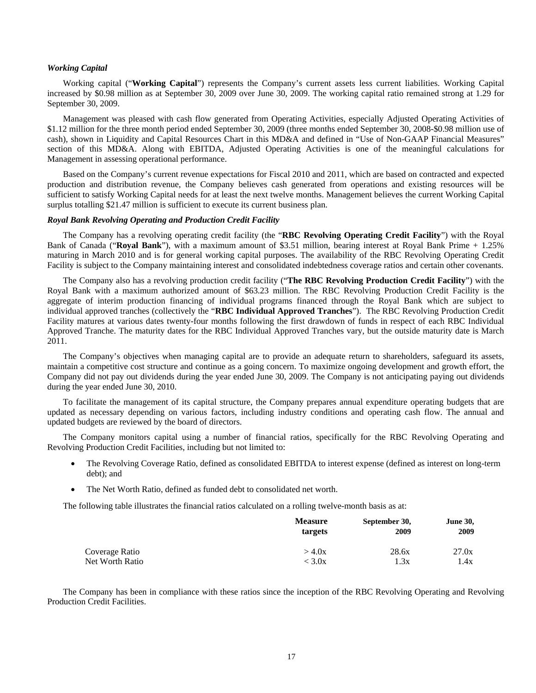## *Working Capital*

Working capital ("**Working Capital**") represents the Company's current assets less current liabilities. Working Capital increased by \$0.98 million as at September 30, 2009 over June 30, 2009. The working capital ratio remained strong at 1.29 for September 30, 2009.

Management was pleased with cash flow generated from Operating Activities, especially Adjusted Operating Activities of \$1.12 million for the three month period ended September 30, 2009 (three months ended September 30, 2008-\$0.98 million use of cash), shown in Liquidity and Capital Resources Chart in this MD&A and defined in "Use of Non-GAAP Financial Measures" section of this MD&A. Along with EBITDA, Adjusted Operating Activities is one of the meaningful calculations for Management in assessing operational performance.

Based on the Company's current revenue expectations for Fiscal 2010 and 2011, which are based on contracted and expected production and distribution revenue, the Company believes cash generated from operations and existing resources will be sufficient to satisfy Working Capital needs for at least the next twelve months. Management believes the current Working Capital surplus totalling \$21.47 million is sufficient to execute its current business plan.

## *Royal Bank Revolving Operating and Production Credit Facility*

The Company has a revolving operating credit facility (the "**RBC Revolving Operating Credit Facility**") with the Royal Bank of Canada ("**Royal Bank**"), with a maximum amount of \$3.51 million, bearing interest at Royal Bank Prime + 1.25% maturing in March 2010 and is for general working capital purposes. The availability of the RBC Revolving Operating Credit Facility is subject to the Company maintaining interest and consolidated indebtedness coverage ratios and certain other covenants.

The Company also has a revolving production credit facility ("**The RBC Revolving Production Credit Facility**") with the Royal Bank with a maximum authorized amount of \$63.23 million. The RBC Revolving Production Credit Facility is the aggregate of interim production financing of individual programs financed through the Royal Bank which are subject to individual approved tranches (collectively the "**RBC Individual Approved Tranches**"). The RBC Revolving Production Credit Facility matures at various dates twenty-four months following the first drawdown of funds in respect of each RBC Individual Approved Tranche. The maturity dates for the RBC Individual Approved Tranches vary, but the outside maturity date is March 2011.

The Company's objectives when managing capital are to provide an adequate return to shareholders, safeguard its assets, maintain a competitive cost structure and continue as a going concern. To maximize ongoing development and growth effort, the Company did not pay out dividends during the year ended June 30, 2009. The Company is not anticipating paying out dividends during the year ended June 30, 2010.

To facilitate the management of its capital structure, the Company prepares annual expenditure operating budgets that are updated as necessary depending on various factors, including industry conditions and operating cash flow. The annual and updated budgets are reviewed by the board of directors.

The Company monitors capital using a number of financial ratios, specifically for the RBC Revolving Operating and Revolving Production Credit Facilities, including but not limited to:

- The Revolving Coverage Ratio, defined as consolidated EBITDA to interest expense (defined as interest on long-term debt); and
- The Net Worth Ratio, defined as funded debt to consolidated net worth.

The following table illustrates the financial ratios calculated on a rolling twelve-month basis as at:

|                 | <b>Measure</b> | September 30, | <b>June 30,</b> |  |
|-----------------|----------------|---------------|-----------------|--|
|                 | targets        | 2009          | 2009            |  |
| Coverage Ratio  | $>$ 4.0x       | 28.6x         | 27.0x           |  |
| Net Worth Ratio | $<$ 3.0x       | 1.3x          | 1.4x            |  |

The Company has been in compliance with these ratios since the inception of the RBC Revolving Operating and Revolving Production Credit Facilities.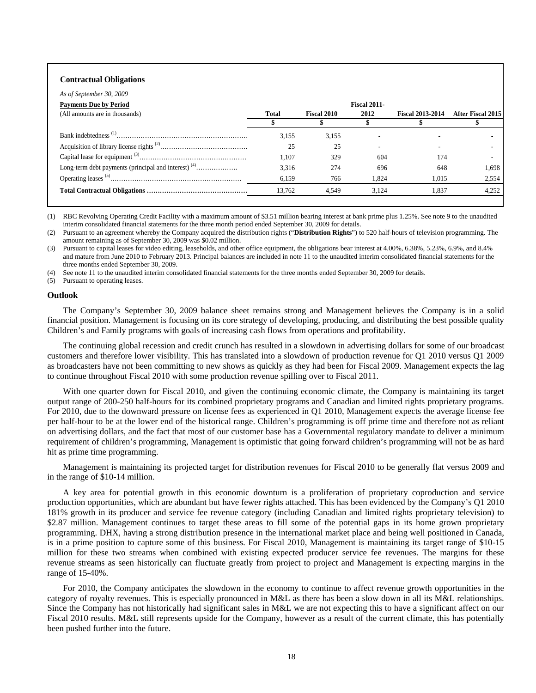## **Contractual Obligations**

| As of September 30, 2009       |              |             |                     |                         |                   |
|--------------------------------|--------------|-------------|---------------------|-------------------------|-------------------|
| <b>Payments Due by Period</b>  |              |             | <b>Fiscal 2011-</b> |                         |                   |
| (All amounts are in thousands) | <b>Total</b> | Fiscal 2010 | 2012                | <b>Fiscal 2013-2014</b> | After Fiscal 2015 |
|                                |              |             |                     |                         |                   |
|                                | 3.155        | 3,155       |                     |                         |                   |
|                                | 25           | 25          |                     |                         |                   |
|                                | 1.107        | 329         | 604                 | 174                     |                   |
|                                | 3.316        | 274         | 696                 | 648                     | 1.698             |
|                                | 6,159        | 766         | 1.824               | 1.015                   | 2,554             |
|                                | 13.762       | 4.549       | 3.124               | 1.837                   | 4.252             |
|                                |              |             |                     |                         |                   |

(1) RBC Revolving Operating Credit Facility with a maximum amount of \$3.51 million bearing interest at bank prime plus 1.25%. See note 9 to the unaudited interim consolidated financial statements for the three month period ended September 30, 2009 for details.

(2) Pursuant to an agreement whereby the Company acquired the distribution rights ("**Distribution Rights**") to 520 half-hours of television programming. The amount remaining as of September 30, 2009 was \$0.02 million.

(3) Pursuant to capital leases for video editing, leaseholds, and other office equipment, the obligations bear interest at 4.00%, 6.38%, 5.23%, 6.9%, and 8.4% and mature from June 2010 to February 2013. Principal balances are included in note 11 to the unaudited interim consolidated financial statements for the three months ended September 30, 2009.

(4) See note 11 to the unaudited interim consolidated financial statements for the three months ended September 30, 2009 for details.

(5) Pursuant to operating leases.

### **Outlook**

The Company's September 30, 2009 balance sheet remains strong and Management believes the Company is in a solid financial position. Management is focusing on its core strategy of developing, producing, and distributing the best possible quality Children's and Family programs with goals of increasing cash flows from operations and profitability.

The continuing global recession and credit crunch has resulted in a slowdown in advertising dollars for some of our broadcast customers and therefore lower visibility. This has translated into a slowdown of production revenue for Q1 2010 versus Q1 2009 as broadcasters have not been committing to new shows as quickly as they had been for Fiscal 2009. Management expects the lag to continue throughout Fiscal 2010 with some production revenue spilling over to Fiscal 2011.

With one quarter down for Fiscal 2010, and given the continuing economic climate, the Company is maintaining its target output range of 200-250 half-hours for its combined proprietary programs and Canadian and limited rights proprietary programs. For 2010, due to the downward pressure on license fees as experienced in Q1 2010, Management expects the average license fee per half-hour to be at the lower end of the historical range. Children's programming is off prime time and therefore not as reliant on advertising dollars, and the fact that most of our customer base has a Governmental regulatory mandate to deliver a minimum requirement of children's programming, Management is optimistic that going forward children's programming will not be as hard hit as prime time programming.

Management is maintaining its projected target for distribution revenues for Fiscal 2010 to be generally flat versus 2009 and in the range of \$10-14 million.

A key area for potential growth in this economic downturn is a proliferation of proprietary coproduction and service production opportunities, which are abundant but have fewer rights attached. This has been evidenced by the Company's Q1 2010 181% growth in its producer and service fee revenue category (including Canadian and limited rights proprietary television) to \$2.87 million. Management continues to target these areas to fill some of the potential gaps in its home grown proprietary programming. DHX, having a strong distribution presence in the international market place and being well positioned in Canada, is in a prime position to capture some of this business. For Fiscal 2010, Management is maintaining its target range of \$10-15 million for these two streams when combined with existing expected producer service fee revenues. The margins for these revenue streams as seen historically can fluctuate greatly from project to project and Management is expecting margins in the range of 15-40%.

For 2010, the Company anticipates the slowdown in the economy to continue to affect revenue growth opportunities in the category of royalty revenues. This is especially pronounced in M&L as there has been a slow down in all its M&L relationships. Since the Company has not historically had significant sales in M&L we are not expecting this to have a significant affect on our Fiscal 2010 results. M&L still represents upside for the Company, however as a result of the current climate, this has potentially been pushed further into the future.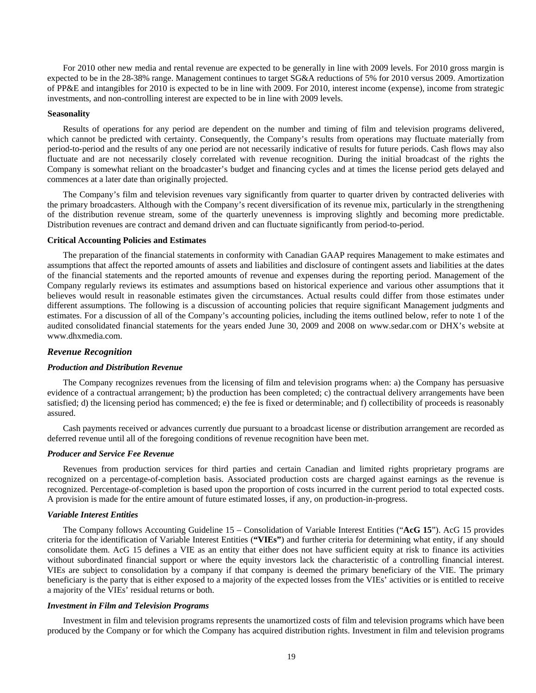For 2010 other new media and rental revenue are expected to be generally in line with 2009 levels. For 2010 gross margin is expected to be in the 28-38% range. Management continues to target SG&A reductions of 5% for 2010 versus 2009. Amortization of PP&E and intangibles for 2010 is expected to be in line with 2009. For 2010, interest income (expense), income from strategic investments, and non-controlling interest are expected to be in line with 2009 levels.

## **Seasonality**

Results of operations for any period are dependent on the number and timing of film and television programs delivered, which cannot be predicted with certainty. Consequently, the Company's results from operations may fluctuate materially from period-to-period and the results of any one period are not necessarily indicative of results for future periods. Cash flows may also fluctuate and are not necessarily closely correlated with revenue recognition. During the initial broadcast of the rights the Company is somewhat reliant on the broadcaster's budget and financing cycles and at times the license period gets delayed and commences at a later date than originally projected.

The Company's film and television revenues vary significantly from quarter to quarter driven by contracted deliveries with the primary broadcasters. Although with the Company's recent diversification of its revenue mix, particularly in the strengthening of the distribution revenue stream, some of the quarterly unevenness is improving slightly and becoming more predictable. Distribution revenues are contract and demand driven and can fluctuate significantly from period-to-period.

#### **Critical Accounting Policies and Estimates**

The preparation of the financial statements in conformity with Canadian GAAP requires Management to make estimates and assumptions that affect the reported amounts of assets and liabilities and disclosure of contingent assets and liabilities at the dates of the financial statements and the reported amounts of revenue and expenses during the reporting period. Management of the Company regularly reviews its estimates and assumptions based on historical experience and various other assumptions that it believes would result in reasonable estimates given the circumstances. Actual results could differ from those estimates under different assumptions. The following is a discussion of accounting policies that require significant Management judgments and estimates. For a discussion of all of the Company's accounting policies, including the items outlined below, refer to note 1 of the audited consolidated financial statements for the years ended June 30, 2009 and 2008 on www.sedar.com or DHX's website at [www.dhxmedia.com](http://www.dhxmedia.com/).

## *Revenue Recognition*

#### *Production and Distribution Revenue*

The Company recognizes revenues from the licensing of film and television programs when: a) the Company has persuasive evidence of a contractual arrangement; b) the production has been completed; c) the contractual delivery arrangements have been satisfied; d) the licensing period has commenced; e) the fee is fixed or determinable; and f) collectibility of proceeds is reasonably assured.

Cash payments received or advances currently due pursuant to a broadcast license or distribution arrangement are recorded as deferred revenue until all of the foregoing conditions of revenue recognition have been met.

## *Producer and Service Fee Revenue*

Revenues from production services for third parties and certain Canadian and limited rights proprietary programs are recognized on a percentage-of-completion basis. Associated production costs are charged against earnings as the revenue is recognized. Percentage-of-completion is based upon the proportion of costs incurred in the current period to total expected costs. A provision is made for the entire amount of future estimated losses, if any, on production-in-progress.

#### *Variable Interest Entities*

The Company follows Accounting Guideline 15 – Consolidation of Variable Interest Entities ("**AcG 15**"). AcG 15 provides criteria for the identification of Variable Interest Entities (**"VIEs"**) and further criteria for determining what entity, if any should consolidate them. AcG 15 defines a VIE as an entity that either does not have sufficient equity at risk to finance its activities without subordinated financial support or where the equity investors lack the characteristic of a controlling financial interest. VIEs are subject to consolidation by a company if that company is deemed the primary beneficiary of the VIE. The primary beneficiary is the party that is either exposed to a majority of the expected losses from the VIEs' activities or is entitled to receive a majority of the VIEs' residual returns or both.

## *Investment in Film and Television Programs*

Investment in film and television programs represents the unamortized costs of film and television programs which have been produced by the Company or for which the Company has acquired distribution rights. Investment in film and television programs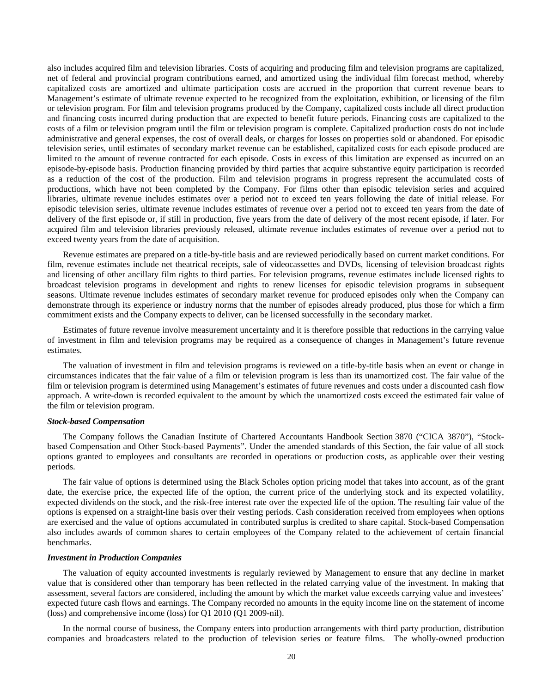also includes acquired film and television libraries. Costs of acquiring and producing film and television programs are capitalized, net of federal and provincial program contributions earned, and amortized using the individual film forecast method, whereby capitalized costs are amortized and ultimate participation costs are accrued in the proportion that current revenue bears to Management's estimate of ultimate revenue expected to be recognized from the exploitation, exhibition, or licensing of the film or television program. For film and television programs produced by the Company, capitalized costs include all direct production and financing costs incurred during production that are expected to benefit future periods. Financing costs are capitalized to the costs of a film or television program until the film or television program is complete. Capitalized production costs do not include administrative and general expenses, the cost of overall deals, or charges for losses on properties sold or abandoned. For episodic television series, until estimates of secondary market revenue can be established, capitalized costs for each episode produced are limited to the amount of revenue contracted for each episode. Costs in excess of this limitation are expensed as incurred on an episode-by-episode basis. Production financing provided by third parties that acquire substantive equity participation is recorded as a reduction of the cost of the production. Film and television programs in progress represent the accumulated costs of productions, which have not been completed by the Company. For films other than episodic television series and acquired libraries, ultimate revenue includes estimates over a period not to exceed ten years following the date of initial release. For episodic television series, ultimate revenue includes estimates of revenue over a period not to exceed ten years from the date of delivery of the first episode or, if still in production, five years from the date of delivery of the most recent episode, if later. For acquired film and television libraries previously released, ultimate revenue includes estimates of revenue over a period not to exceed twenty years from the date of acquisition.

Revenue estimates are prepared on a title-by-title basis and are reviewed periodically based on current market conditions. For film, revenue estimates include net theatrical receipts, sale of videocassettes and DVDs, licensing of television broadcast rights and licensing of other ancillary film rights to third parties. For television programs, revenue estimates include licensed rights to broadcast television programs in development and rights to renew licenses for episodic television programs in subsequent seasons. Ultimate revenue includes estimates of secondary market revenue for produced episodes only when the Company can demonstrate through its experience or industry norms that the number of episodes already produced, plus those for which a firm commitment exists and the Company expects to deliver, can be licensed successfully in the secondary market.

Estimates of future revenue involve measurement uncertainty and it is therefore possible that reductions in the carrying value of investment in film and television programs may be required as a consequence of changes in Management's future revenue estimates.

The valuation of investment in film and television programs is reviewed on a title-by-title basis when an event or change in circumstances indicates that the fair value of a film or television program is less than its unamortized cost. The fair value of the film or television program is determined using Management's estimates of future revenues and costs under a discounted cash flow approach. A write-down is recorded equivalent to the amount by which the unamortized costs exceed the estimated fair value of the film or television program.

## *Stock-based Compensation*

The Company follows the Canadian Institute of Chartered Accountants Handbook Section 3870 ("CICA 3870"), "Stockbased Compensation and Other Stock-based Payments". Under the amended standards of this Section, the fair value of all stock options granted to employees and consultants are recorded in operations or production costs, as applicable over their vesting periods.

The fair value of options is determined using the Black Scholes option pricing model that takes into account, as of the grant date, the exercise price, the expected life of the option, the current price of the underlying stock and its expected volatility, expected dividends on the stock, and the risk-free interest rate over the expected life of the option. The resulting fair value of the options is expensed on a straight-line basis over their vesting periods. Cash consideration received from employees when options are exercised and the value of options accumulated in contributed surplus is credited to share capital. Stock-based Compensation also includes awards of common shares to certain employees of the Company related to the achievement of certain financial benchmarks.

## *Investment in Production Companies*

The valuation of equity accounted investments is regularly reviewed by Management to ensure that any decline in market value that is considered other than temporary has been reflected in the related carrying value of the investment. In making that assessment, several factors are considered, including the amount by which the market value exceeds carrying value and investees' expected future cash flows and earnings. The Company recorded no amounts in the equity income line on the statement of income (loss) and comprehensive income (loss) for Q1 2010 (Q1 2009-nil).

In the normal course of business, the Company enters into production arrangements with third party production, distribution companies and broadcasters related to the production of television series or feature films. The wholly-owned production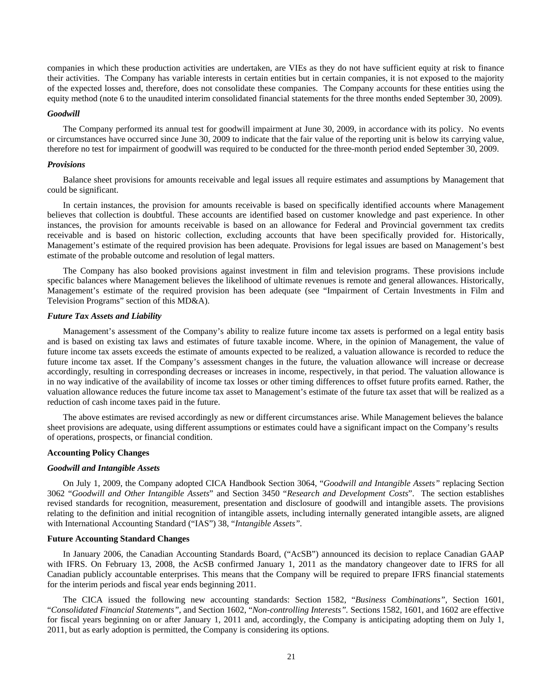companies in which these production activities are undertaken, are VIEs as they do not have sufficient equity at risk to finance their activities. The Company has variable interests in certain entities but in certain companies, it is not exposed to the majority of the expected losses and, therefore, does not consolidate these companies. The Company accounts for these entities using the equity method (note 6 to the unaudited interim consolidated financial statements for the three months ended September 30, 2009).

#### *Goodwill*

The Company performed its annual test for goodwill impairment at June 30, 2009, in accordance with its policy. No events or circumstances have occurred since June 30, 2009 to indicate that the fair value of the reporting unit is below its carrying value, therefore no test for impairment of goodwill was required to be conducted for the three-month period ended September 30, 2009.

## *Provisions*

Balance sheet provisions for amounts receivable and legal issues all require estimates and assumptions by Management that could be significant.

In certain instances, the provision for amounts receivable is based on specifically identified accounts where Management believes that collection is doubtful. These accounts are identified based on customer knowledge and past experience. In other instances, the provision for amounts receivable is based on an allowance for Federal and Provincial government tax credits receivable and is based on historic collection, excluding accounts that have been specifically provided for. Historically, Management's estimate of the required provision has been adequate. Provisions for legal issues are based on Management's best estimate of the probable outcome and resolution of legal matters.

The Company has also booked provisions against investment in film and television programs. These provisions include specific balances where Management believes the likelihood of ultimate revenues is remote and general allowances. Historically, Management's estimate of the required provision has been adequate (see "Impairment of Certain Investments in Film and Television Programs" section of this MD&A).

## *Future Tax Assets and Liability*

Management's assessment of the Company's ability to realize future income tax assets is performed on a legal entity basis and is based on existing tax laws and estimates of future taxable income. Where, in the opinion of Management, the value of future income tax assets exceeds the estimate of amounts expected to be realized, a valuation allowance is recorded to reduce the future income tax asset. If the Company's assessment changes in the future, the valuation allowance will increase or decrease accordingly, resulting in corresponding decreases or increases in income, respectively, in that period. The valuation allowance is in no way indicative of the availability of income tax losses or other timing differences to offset future profits earned. Rather, the valuation allowance reduces the future income tax asset to Management's estimate of the future tax asset that will be realized as a reduction of cash income taxes paid in the future.

The above estimates are revised accordingly as new or different circumstances arise. While Management believes the balance sheet provisions are adequate, using different assumptions or estimates could have a significant impact on the Company's results of operations, prospects, or financial condition.

## **Accounting Policy Changes**

#### *Goodwill and Intangible Assets*

On July 1, 2009, the Company adopted CICA Handbook Section 3064, "*Goodwill and Intangible Assets"* replacing Section 3062 "*Goodwill and Other Intangible Assets*" and Section 3450 "*Research and Development Costs*". The section establishes revised standards for recognition, measurement, presentation and disclosure of goodwill and intangible assets. The provisions relating to the definition and initial recognition of intangible assets, including internally generated intangible assets, are aligned with International Accounting Standard ("IAS") 38, "*Intangible Assets".* 

## **Future Accounting Standard Changes**

In January 2006, the Canadian Accounting Standards Board, ("AcSB") announced its decision to replace Canadian GAAP with IFRS. On February 13, 2008, the AcSB confirmed January 1, 2011 as the mandatory changeover date to IFRS for all Canadian publicly accountable enterprises. This means that the Company will be required to prepare IFRS financial statements for the interim periods and fiscal year ends beginning 2011.

The CICA issued the following new accounting standards: Section 1582, "*Business Combinations"*, Section 1601, "*Consolidated Financial Statements"*, and Section 1602, "*Non-controlling Interests".* Sections 1582, 1601, and 1602 are effective for fiscal years beginning on or after January 1, 2011 and, accordingly, the Company is anticipating adopting them on July 1, 2011, but as early adoption is permitted, the Company is considering its options.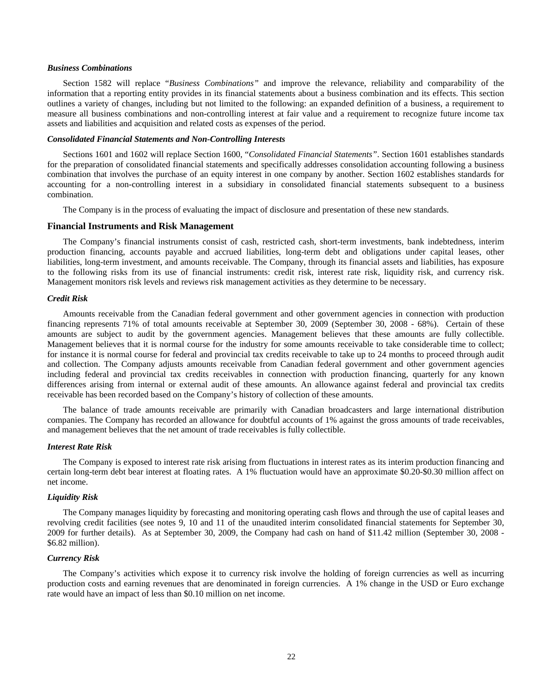## *Business Combinations*

Section 1582 will replace "*Business Combinations"* and improve the relevance, reliability and comparability of the information that a reporting entity provides in its financial statements about a business combination and its effects. This section outlines a variety of changes, including but not limited to the following: an expanded definition of a business, a requirement to measure all business combinations and non-controlling interest at fair value and a requirement to recognize future income tax assets and liabilities and acquisition and related costs as expenses of the period.

## *Consolidated Financial Statements and Non-Controlling Interests*

Sections 1601 and 1602 will replace Section 1600, "*Consolidated Financial Statements"*. Section 1601 establishes standards for the preparation of consolidated financial statements and specifically addresses consolidation accounting following a business combination that involves the purchase of an equity interest in one company by another. Section 1602 establishes standards for accounting for a non-controlling interest in a subsidiary in consolidated financial statements subsequent to a business combination.

The Company is in the process of evaluating the impact of disclosure and presentation of these new standards.

## **Financial Instruments and Risk Management**

The Company's financial instruments consist of cash, restricted cash, short-term investments, bank indebtedness, interim production financing, accounts payable and accrued liabilities, long-term debt and obligations under capital leases, other liabilities, long-term investment, and amounts receivable. The Company, through its financial assets and liabilities, has exposure to the following risks from its use of financial instruments: credit risk, interest rate risk, liquidity risk, and currency risk. Management monitors risk levels and reviews risk management activities as they determine to be necessary.

## *Credit Risk*

Amounts receivable from the Canadian federal government and other government agencies in connection with production financing represents 71% of total amounts receivable at September 30, 2009 (September 30, 2008 - 68%). Certain of these amounts are subject to audit by the government agencies. Management believes that these amounts are fully collectible. Management believes that it is normal course for the industry for some amounts receivable to take considerable time to collect; for instance it is normal course for federal and provincial tax credits receivable to take up to 24 months to proceed through audit and collection. The Company adjusts amounts receivable from Canadian federal government and other government agencies including federal and provincial tax credits receivables in connection with production financing, quarterly for any known differences arising from internal or external audit of these amounts. An allowance against federal and provincial tax credits receivable has been recorded based on the Company's history of collection of these amounts.

The balance of trade amounts receivable are primarily with Canadian broadcasters and large international distribution companies. The Company has recorded an allowance for doubtful accounts of 1% against the gross amounts of trade receivables, and management believes that the net amount of trade receivables is fully collectible.

## *Interest Rate Risk*

The Company is exposed to interest rate risk arising from fluctuations in interest rates as its interim production financing and certain long-term debt bear interest at floating rates. A 1% fluctuation would have an approximate \$0.20-\$0.30 million affect on net income.

## *Liquidity Risk*

The Company manages liquidity by forecasting and monitoring operating cash flows and through the use of capital leases and revolving credit facilities (see notes 9, 10 and 11 of the unaudited interim consolidated financial statements for September 30, 2009 for further details). As at September 30, 2009, the Company had cash on hand of \$11.42 million (September 30, 2008 - \$6.82 million).

## *Currency Risk*

The Company's activities which expose it to currency risk involve the holding of foreign currencies as well as incurring production costs and earning revenues that are denominated in foreign currencies. A 1% change in the USD or Euro exchange rate would have an impact of less than \$0.10 million on net income.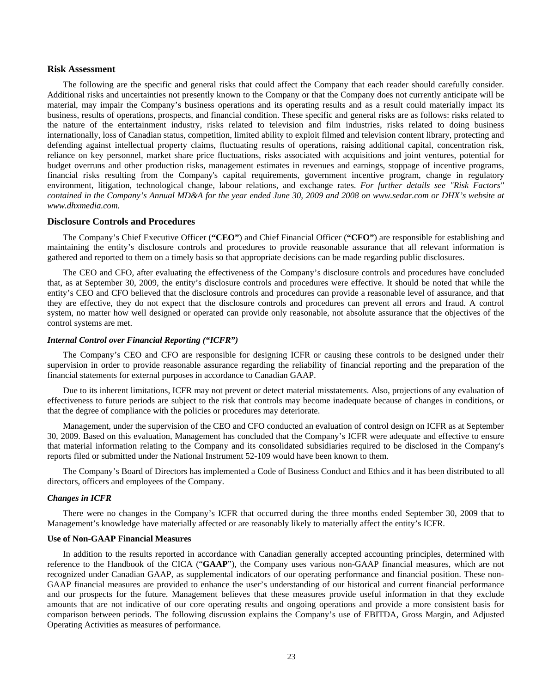#### **Risk Assessment**

The following are the specific and general risks that could affect the Company that each reader should carefully consider. Additional risks and uncertainties not presently known to the Company or that the Company does not currently anticipate will be material, may impair the Company's business operations and its operating results and as a result could materially impact its business, results of operations, prospects, and financial condition. These specific and general risks are as follows: risks related to the nature of the entertainment industry, risks related to television and film industries, risks related to doing business internationally, loss of Canadian status, competition, limited ability to exploit filmed and television content library, protecting and defending against intellectual property claims, fluctuating results of operations, raising additional capital, concentration risk, reliance on key personnel, market share price fluctuations, risks associated with acquisitions and joint ventures, potential for budget overruns and other production risks, management estimates in revenues and earnings, stoppage of incentive programs, financial risks resulting from the Company's capital requirements, government incentive program, change in regulatory environment, litigation, technological change, labour relations, and exchange rates. *For further details see "Risk Factors" contained in the Company's Annual MD&A for the year ended June 30, 2009 and 2008 on [www.sedar.com](http://www.dhxmedia.com/) or DHX's website at www.dhxmedia.com[.](http://www.dhxmedia.com/)* 

## **Disclosure Controls and Procedures**

The Company's Chief Executive Officer (**"CEO"**) and Chief Financial Officer (**"CFO"**) are responsible for establishing and maintaining the entity's disclosure controls and procedures to provide reasonable assurance that all relevant information is gathered and reported to them on a timely basis so that appropriate decisions can be made regarding public disclosures.

The CEO and CFO, after evaluating the effectiveness of the Company's disclosure controls and procedures have concluded that, as at September 30, 2009, the entity's disclosure controls and procedures were effective. It should be noted that while the entity's CEO and CFO believed that the disclosure controls and procedures can provide a reasonable level of assurance, and that they are effective, they do not expect that the disclosure controls and procedures can prevent all errors and fraud. A control system, no matter how well designed or operated can provide only reasonable, not absolute assurance that the objectives of the control systems are met.

#### *Internal Control over Financial Reporting ("ICFR")*

The Company's CEO and CFO are responsible for designing ICFR or causing these controls to be designed under their supervision in order to provide reasonable assurance regarding the reliability of financial reporting and the preparation of the financial statements for external purposes in accordance to Canadian GAAP.

Due to its inherent limitations, ICFR may not prevent or detect material misstatements. Also, projections of any evaluation of effectiveness to future periods are subject to the risk that controls may become inadequate because of changes in conditions, or that the degree of compliance with the policies or procedures may deteriorate.

Management, under the supervision of the CEO and CFO conducted an evaluation of control design on ICFR as at September 30, 2009. Based on this evaluation, Management has concluded that the Company's ICFR were adequate and effective to ensure that material information relating to the Company and its consolidated subsidiaries required to be disclosed in the Company's reports filed or submitted under the National Instrument 52-109 would have been known to them.

The Company's Board of Directors has implemented a Code of Business Conduct and Ethics and it has been distributed to all directors, officers and employees of the Company.

#### *Changes in ICFR*

There were no changes in the Company's ICFR that occurred during the three months ended September 30, 2009 that to Management's knowledge have materially affected or are reasonably likely to materially affect the entity's ICFR.

## **Use of Non-GAAP Financial Measures**

In addition to the results reported in accordance with Canadian generally accepted accounting principles, determined with reference to the Handbook of the CICA ("**GAAP**"), the Company uses various non-GAAP financial measures, which are not recognized under Canadian GAAP, as supplemental indicators of our operating performance and financial position. These non-GAAP financial measures are provided to enhance the user's understanding of our historical and current financial performance and our prospects for the future. Management believes that these measures provide useful information in that they exclude amounts that are not indicative of our core operating results and ongoing operations and provide a more consistent basis for comparison between periods. The following discussion explains the Company's use of EBITDA, Gross Margin, and Adjusted Operating Activities as measures of performance.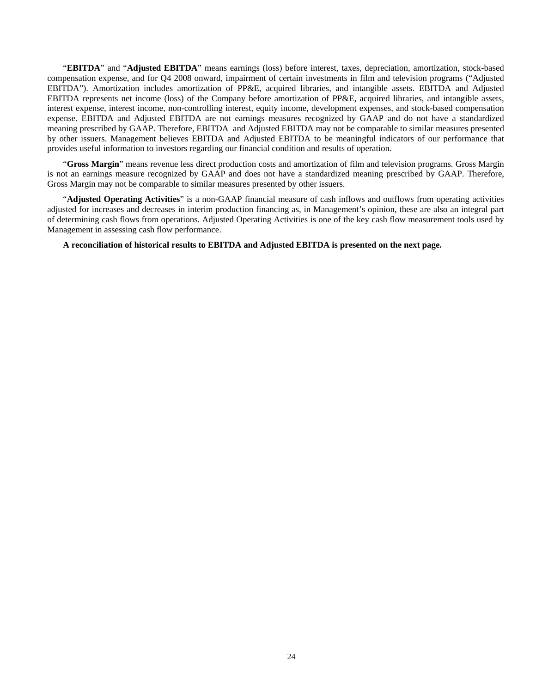"**EBITDA**" and "**Adjusted EBITDA**" means earnings (loss) before interest, taxes, depreciation, amortization, stock-based compensation expense, and for Q4 2008 onward, impairment of certain investments in film and television programs ("Adjusted EBITDA"). Amortization includes amortization of PP&E, acquired libraries, and intangible assets. EBITDA and Adjusted EBITDA represents net income (loss) of the Company before amortization of PP&E, acquired libraries, and intangible assets, interest expense, interest income, non-controlling interest, equity income, development expenses, and stock-based compensation expense. EBITDA and Adjusted EBITDA are not earnings measures recognized by GAAP and do not have a standardized meaning prescribed by GAAP. Therefore, EBITDA and Adjusted EBITDA may not be comparable to similar measures presented by other issuers. Management believes EBITDA and Adjusted EBITDA to be meaningful indicators of our performance that provides useful information to investors regarding our financial condition and results of operation.

"**Gross Margin**" means revenue less direct production costs and amortization of film and television programs. Gross Margin is not an earnings measure recognized by GAAP and does not have a standardized meaning prescribed by GAAP. Therefore, Gross Margin may not be comparable to similar measures presented by other issuers.

"**Adjusted Operating Activities**" is a non-GAAP financial measure of cash inflows and outflows from operating activities adjusted for increases and decreases in interim production financing as, in Management's opinion, these are also an integral part of determining cash flows from operations. Adjusted Operating Activities is one of the key cash flow measurement tools used by Management in assessing cash flow performance.

**A reconciliation of historical results to EBITDA and Adjusted EBITDA is presented on the next page.**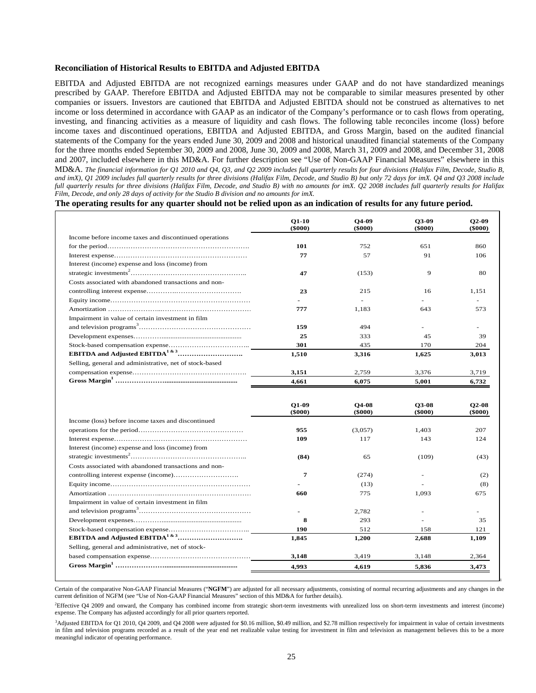#### **Reconciliation of Historical Results to EBITDA and Adjusted EBITDA**

EBITDA and Adjusted EBITDA are not recognized earnings measures under GAAP and do not have standardized meanings prescribed by GAAP. Therefore EBITDA and Adjusted EBITDA may not be comparable to similar measures presented by other companies or issuers. Investors are cautioned that EBITDA and Adjusted EBITDA should not be construed as alternatives to net income or loss determined in accordance with GAAP as an indicator of the Company's performance or to cash flows from operating, investing, and financing activities as a measure of liquidity and cash flows. The following table reconciles income (loss) before income taxes and discontinued operations, EBITDA and Adjusted EBITDA, and Gross Margin, based on the audited financial statements of the Company for the years ended June 30, 2009 and 2008 and historical unaudited financial statements of the Company for the three months ended September 30, 2009 and 2008, June 30, 2009 and 2008, March 31, 2009 and 2008, and December 31, 2008 and 2007, included elsewhere in this MD&A. For further description see "Use of Non-GAAP Financial Measures" elsewhere in this MD&A. *The financial information for Q1 2010 and Q4, Q3, and Q2 2009 includes full quarterly results for four divisions (Halifax Film, Decode, Studio B, and imX), Q1 2009 includes full quarterly results for three divisions (Halifax Film, Decode, and Studio B) but only 72 days for imX. Q4 and Q3 2008 include full quarterly results for three divisions (Halifax Film, Decode, and Studio B) with no amounts for imX. Q2 2008 includes full quarterly results for Halifax Film, Decode, and only 28 days of activity for the Studio B division and no amounts for imX.* 

**The operating results for any quarter should not be relied upon as an indication of results for any future period.**

|                                                         | $O1-10$<br>(\$000) | O4-09<br>$($ \$000 $)$        | O3-09<br>$($ \$000 $)$        | $O2-09$<br>$($ \$000 $)$      |
|---------------------------------------------------------|--------------------|-------------------------------|-------------------------------|-------------------------------|
| Income before income taxes and discontinued operations  |                    |                               |                               |                               |
|                                                         | 101                | 752                           | 651                           | 860                           |
|                                                         | 77                 | 57                            | 91                            | 106                           |
| Interest (income) expense and loss (income) from        |                    |                               |                               |                               |
|                                                         | 47                 | (153)                         | 9                             | 80                            |
| Costs associated with abandoned transactions and non-   |                    |                               |                               |                               |
|                                                         | 23                 | 215                           | 16                            | 1.151                         |
|                                                         |                    | ÷                             |                               |                               |
|                                                         | 777                | 1,183                         | 643                           | 573                           |
| Impairment in value of certain investment in film       |                    |                               |                               |                               |
|                                                         | 159                | 494                           |                               |                               |
|                                                         | 25                 | 333                           | 45                            | 39                            |
|                                                         | 301                | 435                           | 170                           | 204                           |
|                                                         | 1,510              | 3,316                         | 1,625                         | 3,013                         |
| Selling, general and administrative, net of stock-based |                    |                               |                               |                               |
|                                                         | 3,151              | 2,759                         | 3,376                         | 3,719                         |
|                                                         | 4.661              | 6.075                         | 5.001                         | 6,732                         |
|                                                         | $Q1-09$<br>(\$000) | <b>O4-08</b><br>$($ \$000 $)$ | <b>O3-08</b><br>$($ \$000 $)$ | <b>O2-08</b><br>$($ \$000 $)$ |
| Income (loss) before income taxes and discontinued      |                    |                               |                               |                               |
|                                                         | 955                | (3,057)                       | 1,403                         | 207                           |
|                                                         | 109                | 117                           | 143                           | 124                           |
| Interest (income) expense and loss (income) from        |                    |                               |                               |                               |
|                                                         | (84)               | 65                            | (109)                         | (43)                          |
| Costs associated with abandoned transactions and non-   |                    |                               |                               |                               |
|                                                         | 7                  | (274)                         |                               | (2)                           |
|                                                         |                    | (13)                          |                               | (8)                           |
|                                                         | 660                | 775                           | 1.093                         | 675                           |
| Impairment in value of certain investment in film       |                    |                               |                               |                               |
|                                                         |                    | 2,782                         |                               |                               |
|                                                         | 8                  | 293                           |                               | 35                            |
|                                                         | 190                | 512                           | 158                           | 121                           |
|                                                         | 1,845              | 1,200                         | 2,688                         | 1,109                         |
| Selling, general and administrative, net of stock-      |                    |                               |                               |                               |
|                                                         | 3,148              | 3,419                         | 3,148                         | 2,364                         |
|                                                         | 4,993              | 4,619                         | 5,836                         | 3,473                         |

Certain of the comparative Non-GAAP Financial Measures ("**NGFM**") are adjusted for all necessary adjustments, consisting of normal recurring adjustments and any changes in the current definition of NGFM (see "Use of Non-GAAP Financial Measures" section of this MD&A for further details).

1

2 Effective Q4 2009 and onward, the Company has combined income from strategic short-term investments with unrealized loss on short-term investments and interest (income) expense. The Company has adjusted accordingly for all prior quarters reported.

<sup>3</sup>Adjusted EBITDA for Q1 2010, Q4 2009, and Q4 2008 were adjusted for \$0.16 million, \$0.49 million, and \$2.78 million respectively for impairment in value of certain investments in film and television programs recorded as a result of the year end net realizable value testing for investment in film and television as management believes this to be a more meaningful indicator of operating performance.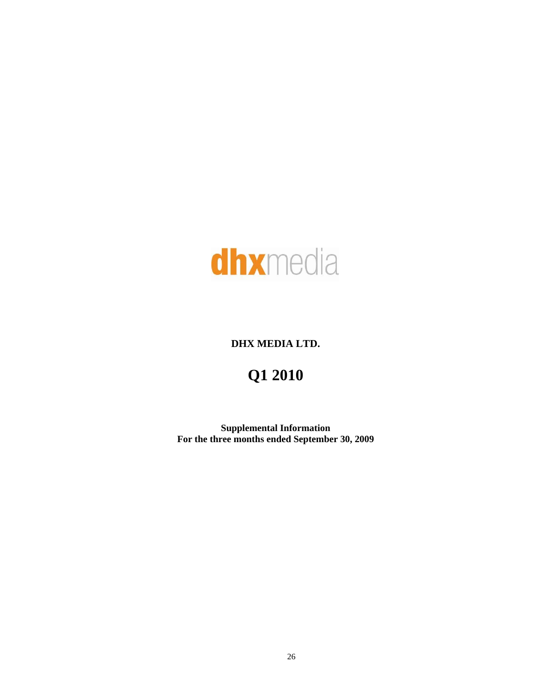

# **DHX MEDIA LTD.**

# **Q1 2010**

**Supplemental Information For the three months ended September 30, 2009**